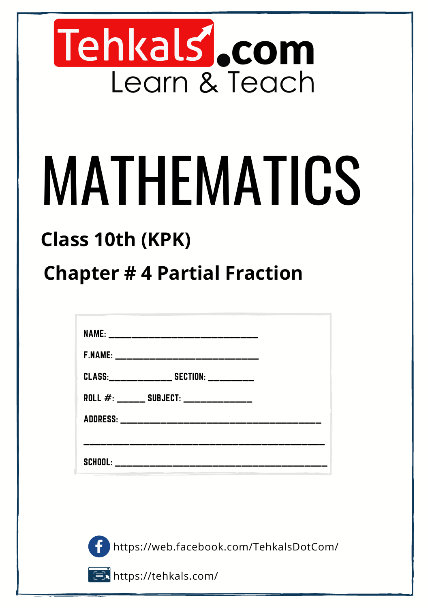

# MATHEMATICS

### **Class 10th (KPK)**

### **Chapter # 4 Partial Fraction**

| NAME: _______________________________      |  |
|--------------------------------------------|--|
|                                            |  |
|                                            |  |
| CLASS: ________________ SECTION: _________ |  |
| ROLL #: ______ SUBJECT: _____________      |  |
| ADDRESS: ____________________________      |  |
|                                            |  |
| SCHOOL: <b>SCHOOL</b>                      |  |

https://web.facebook.com/TehkalsDotCom/

https://tehkals.com/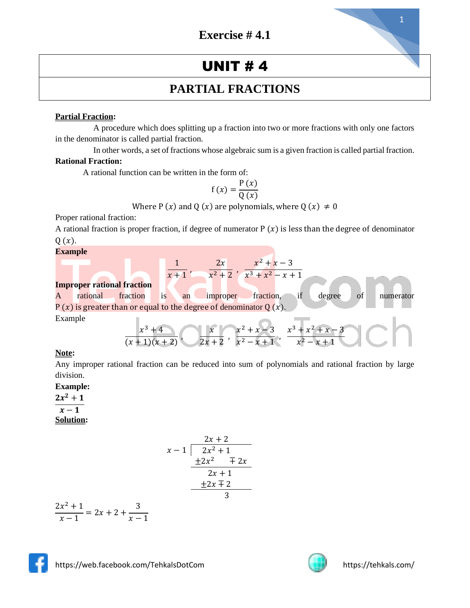#### **UNIT #4**

#### **PARTIAL FRACTIONS**

#### **Partial Fraction:**

A procedure which does splitting up a fraction into two or more fractions with only one factors in the denominator is called partial fraction.

In other words, a set of fractions whose algebraic sum is a given fraction is called partial fraction. **Rational Fraction:**

A rational function can be written in the form of:

$$
f(x) = \frac{P(x)}{Q(x)}
$$

Where P (x) and Q (x) are polynomials, where Q (x)  $\neq$  0

Proper rational fraction:

A rational fraction is proper fraction, if degree of numerator  $P(x)$  is less than the degree of denominator  $Q(x)$ .

#### **Example**

| example |                                   |                  |          |                                                                        |                         |                                   |                            |  |
|---------|-----------------------------------|------------------|----------|------------------------------------------------------------------------|-------------------------|-----------------------------------|----------------------------|--|
|         |                                   |                  |          | 2x                                                                     | $x^2 + x - 3$           |                                   |                            |  |
|         |                                   |                  | $x + 1'$ |                                                                        | $x^2+2$ ' $x^3+x^2-x+1$ |                                   |                            |  |
|         | <b>Improper rational fraction</b> |                  |          |                                                                        |                         |                                   |                            |  |
| A       | rational                          | fraction         | is<br>an | improper                                                               | fraction,               | if<br>degree                      | <sub>of</sub><br>numerator |  |
|         |                                   |                  |          | $P(x)$ is greater than or equal to the degree of denominator Q $(x)$ . |                         |                                   |                            |  |
| Example |                                   |                  |          |                                                                        |                         |                                   |                            |  |
|         |                                   | $\chi^3$         |          | $\chi$                                                                 |                         | $x^2 + x - 3$ $x^3 + x^2 + x - 3$ |                            |  |
|         |                                   | $(x + 1)(x + 2)$ |          | $2x + 2$                                                               | $x^2$ –                 |                                   |                            |  |

#### **Note:**

Any improper rational fraction can be reduced into sum of polynomials and rational fraction by large division.

**Example:**

 $2x^2+1$  $x-1$ 

#### **Solution:**

$$
\begin{array}{r}\n 2x + 2 \\
x - 1 \overline{\smash)2x^2 + 1} \\
 \underline{+2x^2 + 2x} \\
 2x + 1 \\
 \underline{+2x + 2} \\
 3\n \end{array}
$$

$$
\frac{2x^2+1}{x-1} = 2x + 2 + \frac{3}{x-1}
$$



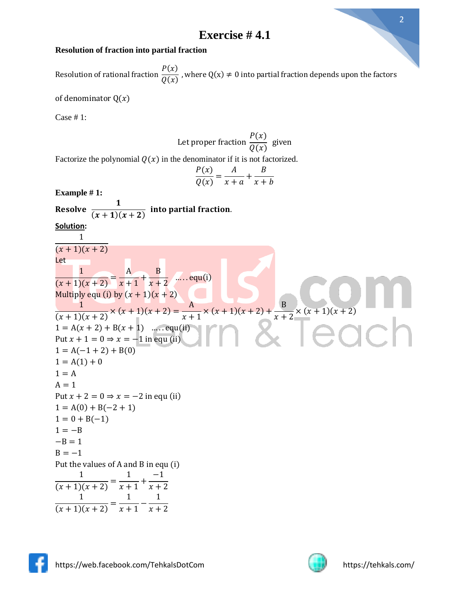#### **Resolution of fraction into partial fraction**

Resolution of rational fraction  $P(x)$  $\frac{\partial f(x)}{\partial g(x)}$ , where  $Q(x) \neq 0$  into partial fraction depends upon the factors

 $P(x)$ 

of denominator  $Q(x)$ 

Case # 1:

Let proper fraction 
$$
\frac{1}{Q(x)}
$$
 given  
\nFactorize the polynomial  $Q(x)$  in the denominator if it is not factorized.  
\n
$$
\frac{P(x)}{Q(x)} = \frac{A}{x+a} + \frac{B}{x+b}
$$
\nExample # 1:  
\n**Resolve**  $\frac{1}{(x+1)(x+2)}$  into partial fraction.  
\n $\frac{Solution}{(x+1)(x+2)}$   
\nLet  
\n
$$
\frac{1}{(x+1)(x+2)} = \frac{A}{x+1} + \frac{B}{x+2}
$$
 .... equ(i)  
\n
$$
\frac{1}{(x+1)(x+2)} \times (x+1)(x+2) = \frac{A}{x+1} \times (x+1)(x+2) + \frac{B}{x+2} \times (x+1)(x+2)
$$
\n
$$
1 = A(x+2) + B(x+1)
$$
 ....equ(ii)  
\n
$$
1 = A(1+2) + B(0)
$$
\n
$$
1 = A(1) + 0
$$
\n
$$
1 = A(1) + 0
$$
\n
$$
1 = A
$$
\n
$$
A = 1
$$
\nPut  $x + 2 = 0 \Rightarrow x = -2$  in equ (ii)  
\n
$$
1 = A(0) + B(-2 + 1)
$$
\n
$$
1 = 0 + B(-1)
$$
\n
$$
1 = -B
$$
\n
$$
B = -1
$$
\nPut the values of A and B in equ (i)  
\n
$$
\frac{1}{(x+1)(x+2)} = \frac{1}{x+1} + \frac{-1}{x+2}
$$
\n
$$
\frac{1}{(x+1)(x+2)} = \frac{1}{x+1} - \frac{1}{x+2}
$$

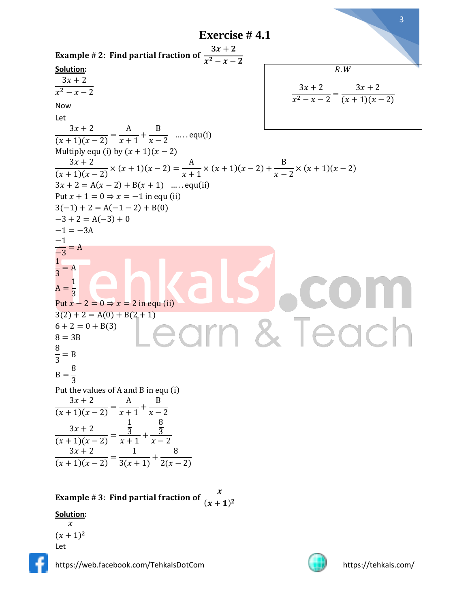Exercise # 4.1  
\nExample # 2: Find partial fraction of 
$$
\frac{3x+2}{x^2-x-2}
$$
  
\nSolution:  
\n
$$
\frac{3x+2}{x^2-x-2}
$$
\nNow  
\nLet  
\n
$$
\frac{3x+2}{(x+1)(x-2)} = \frac{A}{x+1} + \frac{B}{x-2}
$$
 .... equ(i)  
\nMultiply equi (i) by  $(x + 1)(x-2)$   
\n
$$
\frac{3x+2}{(x+1)(x-2)} = (x+1)(x-2) + \frac{B}{x-2} = (x+1)(x-2)
$$
\n
$$
\frac{3x+2}{(x+1)(x-2)} = x+1 \text{ sq. } (x+1)(x-2) + \frac{B}{x-2} = x(x+1)(x-2)
$$
\n
$$
3x+2 = A(x-2) + B(x+1)
$$
 .... equ(ii)  
\nPut  $x+1 = 0 \Rightarrow x = -1$  in equ(i)  
\n $-3+2 = A(-3) + 0$   
\n $-1 = -3A$   
\n $\frac{-3}{-3} = A$   
\n $\frac{1}{-3} = A$   
\n $\frac{1}{-3} = A$   
\n $\frac{1}{3} = 1$   
\n $\frac{1}{3} = 1$   
\n $\frac{1}{3} = 1$   
\n $\frac{1}{3} = 1$   
\n $\frac{1}{3} = 1$   
\n $\frac{1}{3} = 1$   
\n $\frac{1}{3} = 1$   
\n $\frac{1}{3} = 1$   
\n $\frac{1}{3} = 1$   
\n $\frac{1}{3} = 1$   
\nPut  $x-x^2 = 0 \Rightarrow x = 2$  in equi (ii)  
\n $\frac{3x+2}{(x+1)(x-2)} = \frac{1}{x+1} + \frac{B}{x-2}$   
\n $\frac{3x+2}{(x+1)(x-2)} = \frac{1}{x+1} + \frac{B}{x-2}$   
\n $\frac{3x+2}{(x+1)(x-2)} = \frac{1}{x+1} + \frac{B}{x-2}$   
\n $\frac{3x+2}{($ 

Example #3: Find partial fraction of  $\boldsymbol{\chi}$  $(x + 1)^2$ 

**Solution:**

 $\mathcal{X}$  $(x + 1)^2$ Let

https://web.facebook.com/TehkalsDotCom https://tehkals.com/

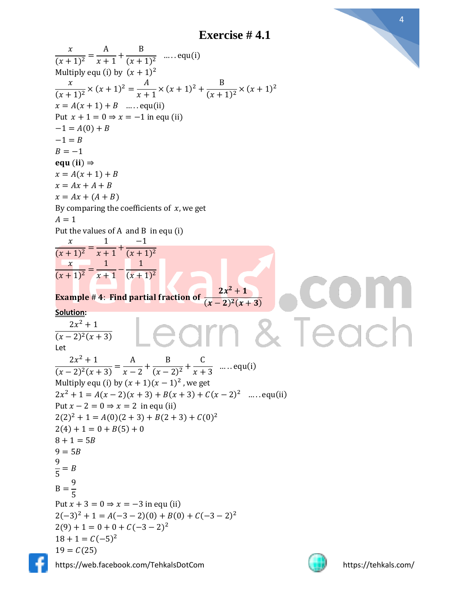**Exercise # 4.1**







 $\overline{A}$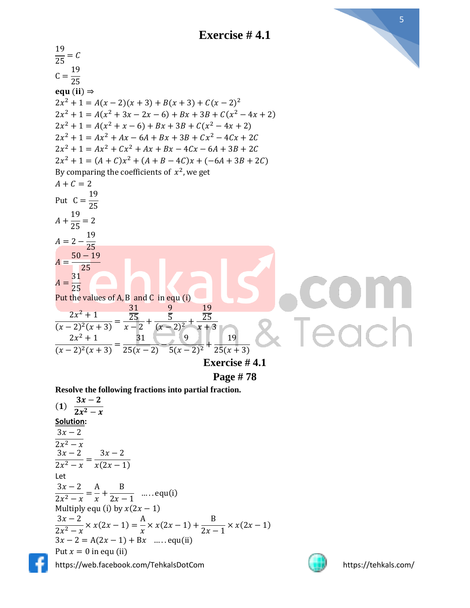**Exercise # 4.1**



**Resolve the following fractions into partial fraction.**

https://web.facebook.com/TehkalsDotCom https://tehkals.com/  $(1)$  $3x-2$  $2x^2-x$ **Solution:**  $3x - 2$  $2x^2-x$  $3x - 2$  $\frac{2x^2 - x}{2x^2 - x} =$  $3x - 2$  $x(2x - 1)$ Let  $3x - 2$  $\frac{2x^2 - x}{2x^2 - x} =$ A  $\frac{1}{x}$  + B  $\frac{z}{2x-1}$  .... equ(i) Multiply equ (i) by  $x(2x - 1)$  $3x - 2$  $\frac{2x^2 - x}{2x^2 - x} \times x(2x - 1) =$ A  $\frac{1}{x}$  ×  $x(2x-1)$  + B  $\frac{2}{2x-1} \times x(2x-1)$ 3 − 2 = A(2 − 1) + B … . . equ(ii) Put  $x = 0$  in equ (ii)



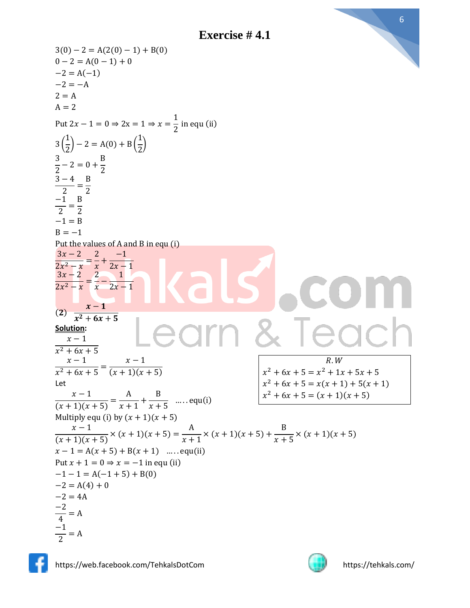

 $3(0) - 2 = A(2(0) - 1) + B(0)$  $0 - 2 = A(0 - 1) + 0$  $-2 = A(-1)$  $-2 = -A$  $2 = A$  $A = 2$ Put  $2x - 1 = 0 \Rightarrow 2x = 1 \Rightarrow x =$ 1  $\frac{1}{2}$  in equ (ii) 3 ( 1  $\left(\frac{1}{2}\right) - 2 = A(0) + B$ 1  $\frac{1}{2}$ 3  $\frac{2}{2} - 2 = 0 +$ B 2  $3 - 4$  $\frac{1}{2}$ B 2 −1  $\frac{1}{2}$  = B 2  $-1 = B$  $B = -1$ Put the values of A and B in equ (i)  $3x - 2$  $\frac{2x^2 - x}{x} =$ 2  $\frac{1}{x}$  + −1  $2x - 1$  $3x - 2$  $\frac{2x^2 - x}{x} =$ 2  $\frac{1}{x}$ 1  $2x - 1$  $(2)$  $x-1$  $x^2$  +  $6x$  + 5 **Solution:**  $x-1$  $x^2 + 6x + 5$  $x - 1$  $\frac{x^2+6x+5}{x^2+6x+5}$  $x - 1$  $(x + 1)(x + 5)$ Let  $x - 1$  $\frac{x+1}{(x+1)(x+5)} =$ A  $\frac{1}{x+1}$ + B  $\frac{z}{x+5}$  ..... equ(i) Multiply equ (i) by  $(x + 1)(x + 5)$  $x - 1$  $\frac{x^2}{(x+1)(x+5)} \times (x+1)(x+5) =$ A  $\frac{1}{x+1}$  × (x + 1)(x + 5) + B  $\frac{2}{x+5}$  × (x + 1)(x + 5)  $x - 1 = A(x + 5) + B(x + 1)$  ..... equ(ii) Put  $x + 1 = 0 \Rightarrow x = -1$  in equ (ii)  $-1 - 1 = A(-1 + 5) + B(0)$  $-2 = A(4) + 0$  $-2 = 4A$ −2  $\frac{-}{4}$  = A −1  $\frac{1}{2}$  = A  $R.W$  $x^2 + 6x + 5 = x^2 + 1x + 5x + 5$  $x^2 + 6x + 5 = x(x + 1) + 5(x + 1)$  $x^2 + 6x + 5 = (x + 1)(x + 5)$ 



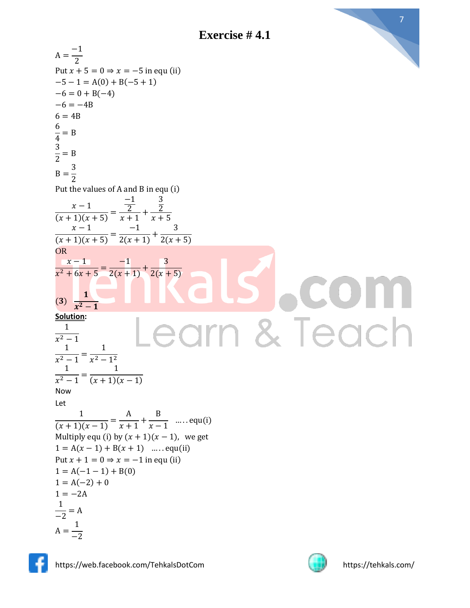**Exercise # 4.1**



$$
\frac{1}{2} = B
$$
\n
$$
B = \frac{3}{2}
$$
\nPut the values of A and B in equ (i)  
\n
$$
\frac{x-1}{(x+1)(x+5)} = \frac{-1}{x+1} + \frac{3}{x+5}
$$
\n
$$
\frac{x-1}{(x+1)(x+5)} = \frac{-1}{2(x+1)} + \frac{3}{2(x+5)}
$$
\nOR\n
$$
\frac{x-1}{x^2+6x+5} = \frac{-1}{2(x+1)} + \frac{3}{2(x+5)}
$$
\nSolution:\n
$$
\frac{1}{x^2-1}
$$
\nSolution:\n
$$
\frac{1}{x^2-1} = \frac{1}{x^2-1^2}
$$
\n
$$
\frac{1}{x^2-1} = \frac{1}{(x+1)(x-1)}
$$
\nNow\nLet\n
$$
\frac{1}{(x+1)(x-1)} = \frac{A}{x+1} + \frac{B}{x-1} \quad .... \quad \text{equ}(i)
$$
\n
$$
\frac{1}{x+1} = A(x-1) + B(x+1) \quad .... \quad \text{equ}(ii)
$$
\n
$$
1 = A(-1-1) + B(0)
$$
\n
$$
1 = -2A
$$
\n
$$
\frac{1}{-2} = A
$$



 $A =$ 

1 −2

 $A =$ 

6  $\frac{1}{4}$  = B 3

−1 2

 $-6 = 0 + B(-4)$ 

 $-6 = -4B$  $6 = 4B$ 

Put  $x + 5 = 0 \Rightarrow x = -5$  in equ (ii)

 $-5 - 1 = A(0) + B(-5 + 1)$ 

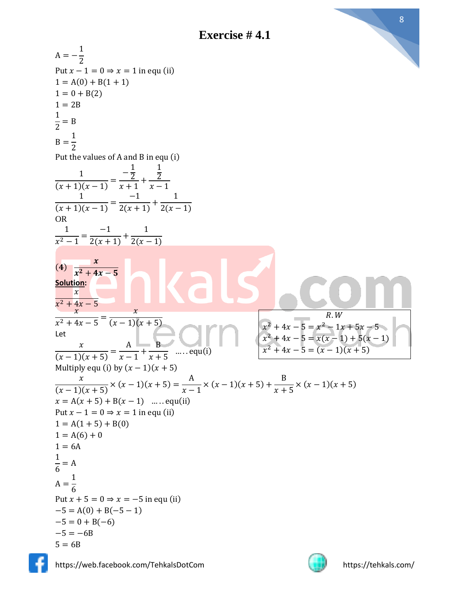$A = -$ 1 2 Put  $x - 1 = 0 \Rightarrow x = 1$  in equ (ii)  $1 = A(0) + B(1 + 1)$  $1 = 0 + B(2)$  $1 = 2B$ 1  $\frac{1}{2}$  = B  $B =$ 1 2 Put the values of A and B in equ (i) 1  $\frac{1}{(x+1)(x-1)}$  =  $-\frac{1}{2}$ 2  $\frac{2}{x+1}$ + 1 2  $x - 1$ 1  $\frac{1}{(x+1)(x-1)}$  = −1  $\frac{1}{2(x+1)} +$ 1  $2(x - 1)$ OR 1  $\frac{1}{x^2-1}$  = −1  $\frac{1}{2(x+1)} +$ 1  $2(x - 1)$  $(4)$  $\boldsymbol{\mathcal{X}}$  $x^2 + 4x - 5$ **Solution:**  $\boldsymbol{x}$  $x^2 + 4x - 5$  $\chi$  $\frac{x^2+4x-5}=$  $\chi$  $(x - 1)(x + 5)$ Let  $\mathcal{X}$  $\frac{x}{(x-1)(x+5)}$  = A  $\frac{1}{x-1}$  + B  $x + 5$  $\dots$  equ(i) Multiply equ (i) by  $(x - 1)(x + 5)$  $\mathcal{X}$  $\frac{x}{(x-1)(x+5)} \times (x-1)(x+5) =$ A  $\frac{x}{x-1} \times (x-1)(x+5) +$ B  $\frac{2}{x+5}$  × (x – 1)(x + 5)  $x = A(x + 5) + B(x - 1)$  .... equ(ii) Put  $x - 1 = 0 \Rightarrow x = 1$  in equ (ii)  $1 = A(1 + 5) + B(0)$  $1 = A(6) + 0$  $1 = 6A$ 1  $\frac{1}{6}$  = A  $A =$ 1 6 Put  $x + 5 = 0 \Rightarrow x = -5$  in equ (ii)  $-5 = A(0) + B(-5 - 1)$  $-5 = 0 + B(-6)$  $-5 = -6B$  $5 = 6B$  $R.W$  $x^2 + 4x - 5 = x^2 - 1x + 5x - 5$  $x^2 + 4x - 5 = x(x - 1) + 5(x - 1)$  $x^2 + 4x - 5 = (x - 1)(x + 5)$ 





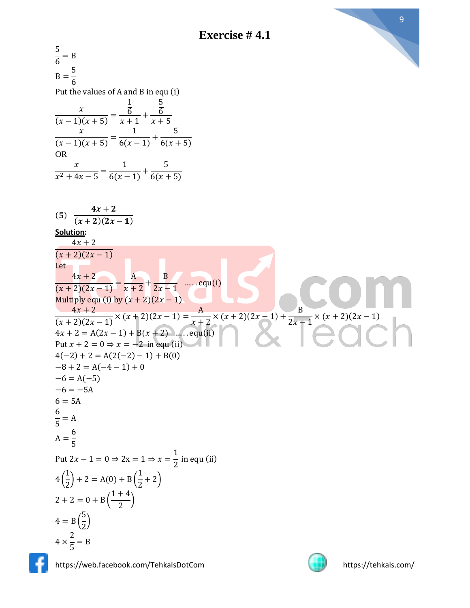

5  $\frac{2}{6}$  = B  $B =$ 5 6 Put the values of A and B in equ (i)  $\mathcal{X}$  $\frac{x}{(x-1)(x+5)}$  = 1 6  $\frac{6}{x+1}$ + 5 6  $x + 5$  $\mathcal{X}$  $\frac{x}{(x-1)(x+5)}$  = 1  $\frac{1}{6(x-1)} +$ 5  $6(x + 5)$ OR  $\mathcal{X}$  $\frac{x^2+4x-5}=$ 1  $\frac{1}{6(x-1)} +$ 5  $6(x + 5)$  $(5)$  $4x + 2$  $(x + 2)(2x - 1)$ **Solution:**  $4x + 2$  $\frac{x+2(2x-1)}{x+2}$ Let<sub>t</sub>  $4x + 2$  $\frac{1}{(x+2)(2x-1)}$  = A  $\frac{1}{x+2}$ + B  $\frac{2}{2x-1}$  ..... equ(i) Multiply equ (i) by  $(x + 2)(2x - 1)$  $4x + 2$  $\frac{(x+2)(2x-1)}{(x+2)(2x-1)} \times (x+2)(2x-1) =$ A  $\frac{1}{x+2}$  × (x+2)(2x-1) + B  $\frac{2}{2x-1} \times (x+2)(2x-1)$  $4x + 2 = A(2x - 1) + B(x + 2)$  ..... equ(ii) Put  $x + 2 = 0 \Rightarrow x = -2$  in equ (ii)  $4(-2) + 2 = A(2(-2) - 1) + B(0)$  $-8 + 2 = A(-4 - 1) + 0$  $-6 = A(-5)$  $-6 = -5A$  $6 = 5A$ 6  $\frac{1}{5}$  = A  $A =$ 6 5 Put  $2x - 1 = 0 \Rightarrow 2x = 1 \Rightarrow x =$ 1  $\frac{1}{2}$  in equ (ii) 4 ( 1  $\left(\frac{2}{2}\right)$  + 2 = A(0) + B 1  $(\frac{1}{2}+2)$  $2 + 2 = 0 + B$  $1 + 4$  $\frac{1}{2}$  $4 = B$  ( 5  $\frac{1}{2}$  $4 \times$ 2  $\frac{1}{5}$  = B



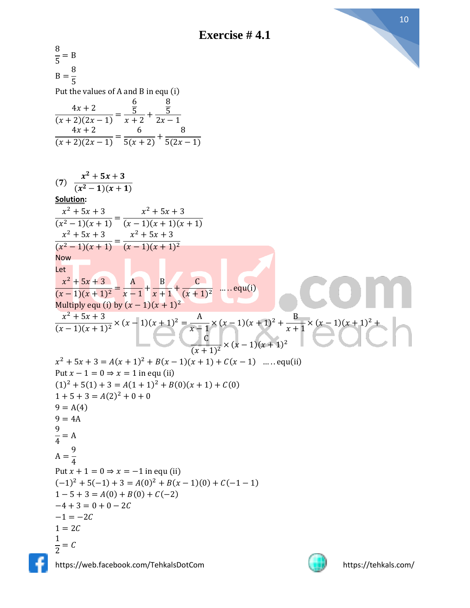

$$
\frac{8}{5} = B
$$
\n
$$
B = \frac{8}{5}
$$
\nPut the values of A and B in equ (i)  
\n
$$
\frac{4x + 2}{(x + 2)(2x - 1)} = \frac{5}{x + 2} + \frac{8}{2x - 1}
$$
\n
$$
\frac{4x + 2}{(x + 2)(2x - 1)} = \frac{6}{5(x + 2)} + \frac{8}{5(2x - 1)}
$$
\n(7)  
\n
$$
\frac{x^2 + 5x + 3}{(x^2 - 1)(x + 1)} = \frac{x^2 + 5x + 3}{(x - 1)(x + 1)(x + 1)}
$$
\nSolution:  
\n
$$
\frac{x^2 + 5x + 3}{(x^2 - 1)(x + 1)} = \frac{x^2 + 5x + 3}{(x - 1)(x + 1)(x + 1)^2}
$$
\nNow  
\n
$$
\frac{x^2 + 5x + 3}{(x^2 - 1)(x + 1)} = \frac{x^2 + 5x + 3}{(x - 1)(x + 1)^2}
$$
\n
$$
\frac{1}{(x + 1)^2} = \frac{A}{x - 1} + \frac{B}{x + 1} + \frac{C}{(x + 1)^2}
$$
\n
$$
\frac{x^2 + 5x + 3}{(x - 1)(x + 1)^2} = x - \frac{1}{1 + 2} + \frac{1}{x + 1} + \frac{C}{(x + 1)^2} = \frac{0}{x - 1}(x + 1)^2 + \frac{1}{x + 1} \times (x - 1)(x + 1)^2 + \frac{x^2 + 5x + 3}{(x + 1)^2} = 0 \Rightarrow A(1)
$$
\n
$$
x^2 + 5x + 3 = A(x + 1)^2 + B(x - 1)(x + 1) + C(x - 1) \quad \dots
$$
\n
$$
c_1(1) + 5(1) + 3 = A(1 + 1)^2 + B(0)(x + 1) + C(0)
$$
\n
$$
1 + 5 + 3 = A(2)^2 + 0 + 0
$$
\n
$$
9 = A(A)
$$
\n
$$
9 = A(A)
$$
\n
$$
10^2 + 5(-1) + 3 = A(0)^2 + B(x - 1)(0) + C(-1 - 1)
$$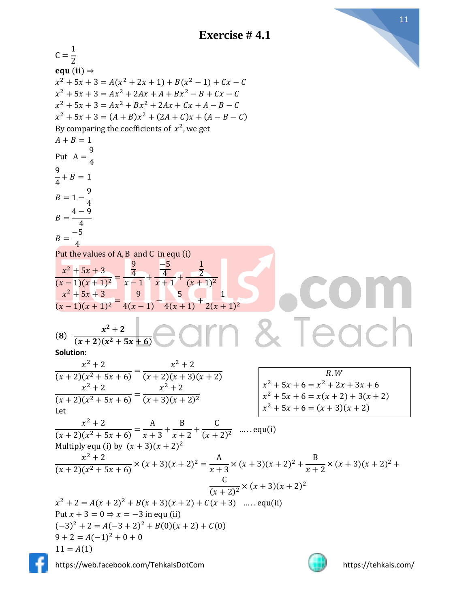

| $C = \frac{1}{2}$                                                                                                             |                                                                         |
|-------------------------------------------------------------------------------------------------------------------------------|-------------------------------------------------------------------------|
| equ (ii) $\Rightarrow$                                                                                                        |                                                                         |
| $x^{2} + 5x + 3 = A(x^{2} + 2x + 1) + B(x^{2} - 1) + Cx - C$                                                                  |                                                                         |
| $x^{2} + 5x + 3 = Ax^{2} + 2Ax + A + Bx^{2} - B + Cx - C$                                                                     |                                                                         |
| $x^{2} + 5x + 3 = Ax^{2} + Bx^{2} + 2Ax + Cx + A - B - C$                                                                     |                                                                         |
| $x^{2} + 5x + 3 = (A + B)x^{2} + (2A + C)x + (A - B - C)$                                                                     |                                                                         |
| By comparing the coefficients of $x^2$ , we get                                                                               |                                                                         |
| $A + B = 1$                                                                                                                   |                                                                         |
|                                                                                                                               |                                                                         |
| Put $A = \frac{1}{4}$                                                                                                         |                                                                         |
| $\frac{9}{4} + B = 1$                                                                                                         |                                                                         |
|                                                                                                                               |                                                                         |
| $B = 1 - \frac{9}{4}$<br>$B = \frac{4 - 9}{4}$<br>$B = \frac{-5}{4}$                                                          |                                                                         |
|                                                                                                                               |                                                                         |
|                                                                                                                               |                                                                         |
|                                                                                                                               |                                                                         |
|                                                                                                                               |                                                                         |
| Put the values of A, B and C in equ (i)                                                                                       |                                                                         |
|                                                                                                                               |                                                                         |
| $\frac{x^2+5x+3}{(x-1)(x+1)^2} = \frac{\frac{9}{4}}{x-1} + \frac{\frac{-5}{4}}{x+1} + \frac{\frac{1}{2}}{(x+1)^2}$            |                                                                         |
|                                                                                                                               |                                                                         |
| $\frac{x^2+5x+3}{(x-1)(x+1)^2} = \frac{9}{4(x-1)} - \frac{5}{4(x+1)} + \frac{1}{2(x+1)^2}$                                    |                                                                         |
|                                                                                                                               |                                                                         |
| $\frac{x^2+2}{(x+2)(x^2+5x+6)}$ earn & Teach<br>(8)                                                                           |                                                                         |
| Solution:                                                                                                                     |                                                                         |
|                                                                                                                               |                                                                         |
| $\frac{x^2+2}{(x+2)(x^2+5x+6)} = \frac{x^2+2}{(x+2)(x+3)(x+2)}$                                                               | R.W                                                                     |
|                                                                                                                               | $x^2 + 5x + 6 = x^2 + 2x + 3x + 6$                                      |
| $\frac{x^2+2}{(x+2)(x^2+5x+6)} = \frac{x^2+2}{(x+3)(x+2)^2}$                                                                  | $x^2 + 5x + 6 = x(x + 2) + 3(x + 2)$<br>$x^2 + 5x + 6 = (x + 3)(x + 2)$ |
| Let                                                                                                                           |                                                                         |
|                                                                                                                               |                                                                         |
| $\frac{x^2+2}{(x+2)(x^2+5x+6)} = \frac{A}{x+3} + \frac{B}{x+2} + \frac{C}{(x+2)^2}$ equ(i)                                    |                                                                         |
| Multiply equ (i) by $(x + 3)(x + 2)^2$                                                                                        |                                                                         |
|                                                                                                                               |                                                                         |
| $\frac{x^2+2}{(x+2)(x^2+5x+6)} \times (x+3)(x+2)^2 = \frac{A}{x+3} \times (x+3)(x+2)^2 + \frac{B}{x+2} \times (x+3)(x+2)^2 +$ |                                                                         |
|                                                                                                                               |                                                                         |
| $\frac{C}{(x+2)^2}$ × $(x+3)(x+2)^2$                                                                                          |                                                                         |
| $x^{2} + 2 = A(x + 2)^{2} + B(x + 3)(x + 2) + C(x + 3)$ equ(ii)                                                               |                                                                         |
| Put $x + 3 = 0 \Rightarrow x = -3$ in equ (ii)                                                                                |                                                                         |
| $(-3)^{2} + 2 = A(-3 + 2)^{2} + B(0)(x + 2) + C(0)$                                                                           |                                                                         |
| $9 + 2 = A(-1)^{2} + 0 + 0$                                                                                                   |                                                                         |
| $11 = A(1)$                                                                                                                   |                                                                         |
| https://web.facebook.com/TehkalsDotCom                                                                                        | https://tehkals.com/                                                    |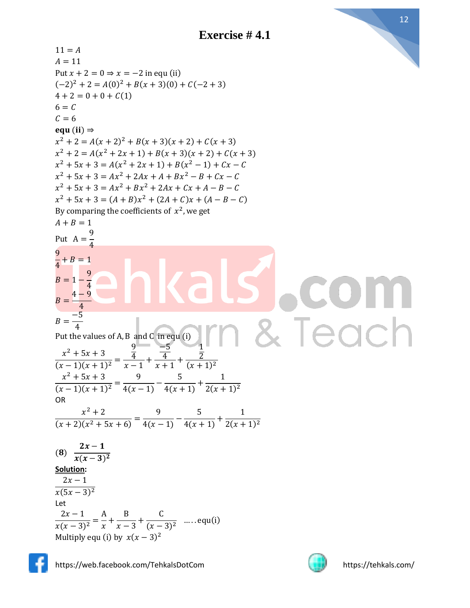$11 = A$  $A = 11$ Put  $x + 2 = 0 \Rightarrow x = -2$  in equ (ii)  $(-2)^2 + 2 = A(0)^2 + B(x + 3)(0) + C(-2 + 3)$  $4 + 2 = 0 + 0 + C(1)$  $6 = C$  $C = 6$ equ (ii)  $\Rightarrow$  $x^{2} + 2 = A(x + 2)^{2} + B(x + 3)(x + 2) + C(x + 3)$  $x^{2} + 2 = A(x^{2} + 2x + 1) + B(x + 3)(x + 2) + C(x + 3)$  $x^2 + 5x + 3 = A(x^2 + 2x + 1) + B(x^2 - 1) + Cx - C$  $x^2 + 5x + 3 = Ax^2 + 2Ax + A + Bx^2 - B + Cx - C$  $x^2 + 5x + 3 = Ax^2 + Bx^2 + 2Ax + Cx + A - B - C$  $x^2 + 5x + 3 = (A + B)x^2 + (2A + C)x + (A - B - C)$ By comparing the coefficients of  $x^2$ , we get  $A + B = 1$ 9 Put  $A =$ 4 9  $\frac{1}{4} + B = 1$ 9  $B = 1 -$ 4  $4 - 9$  $B=$ 4 −5  $B=$ Teach 4 Put the values of A, B and C in equ (i) 9 −5 1  $x^2 + 5x + 3$ 4 4 2  $\frac{(x-1)(x+1)^2}{(x-1)(x+1)^2} =$  $\frac{4}{x-1}$ +  $\frac{4}{x+1}$ +  $(x + 1)^2$  $x^2 + 5x + 3$ 9 5 1  $\frac{(x-1)(x+1)^2}{(x-1)(x+1)^2} =$  $\frac{1}{4(x-1)}$  –  $\frac{1}{4(x+1)} +$  $2(x + 1)^2$ OR  $x^2 + 2$ 9 5 1  $\frac{(x+2)(x^2+5x+6)}{(x+2)(x^2+5x+6)}$  $\frac{1}{4(x-1)}$  –  $\frac{1}{4(x+1)} +$  $2(x + 1)^2$  $2x-1$  $(8)$  $x(x-3)^2$ **Solution:**  $2x - 1$  $x(5x - 3)^2$ Let  $2x - 1$ A B C  $\frac{1}{x(x-3)^2} =$  $\frac{1}{x}$  +  $\frac{-}{x-3}$  +  $\frac{1}{(x-3)^2}$  ..... equ(i) Multiply equ (i) by  $x(x - 3)^2$ 

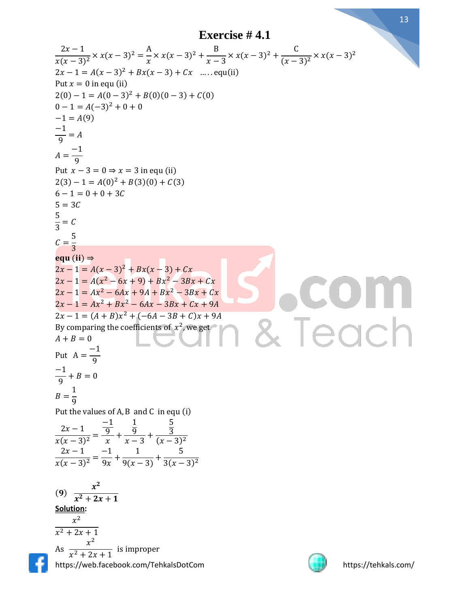$$
\frac{2x-1}{x(x-3)^2} \times x(x-3)^2 = \frac{A}{x} \times x(x-3)^2 + \frac{B}{x-3} \times x(x-3)^2 + \frac{C}{(x-3)^2} \times x(x-3)^2
$$
  
\nPut *x* = 0 in equ (ii)  
\n2(0) -1 = A(0-3)^2 + B(0)(0-3) + C(0)  
\n0-1 = A(-3)^2 + 0 + 0  
\n-1 = A(9)  
\n-1 = A(9)  
\n-1 = A(9)  
\n2(3) -1 = A(0)^2 + B(3)(0) + C(3)  
\n6-1 = 0 + 0 + 3C  
\n5 = 3C  
\nC = \frac{5}{3}  
\nC = \frac{5}{3}  
\nC = \frac{5}{3}  
\nC = \frac{5}{3}  
\nC = 1  
\n200 (iii) ⇒  
\n2x-1 = A(x<sup>2</sup> - 6x + 9) + Bx<sup>2</sup> - 3Bx + Cx  
\n2x-1 = A(x<sup>2</sup> - 6x + 9) + Bx<sup>2</sup> - 3Bx + Cx + 9A  
\nBy comparing the coefficients of x<sup>2</sup>, we get  
\nA + B = 0  
\nB = \frac{1}{9}  
\nB = \frac{1}{9}  
\nB = \frac{1}{9}  
\nB = \frac{1}{9}  
\nB = \frac{1}{3}  
\n2x-1 = (A + B)x<sup>2</sup> + (-6A - 3B + C)x + 9A  
\nBy comparing the coefficients of x<sup>2</sup>, we get  
\nA + B = 0  
\nB = \frac{1}{9}  
\nB = \frac{1}{3}  
\nB = \frac{1}{(x)(x-3)^2} = \frac{-1}{x} + \frac{1}{x-3} + \frac{5}{(x-3)^2}  
\n2(x-3)^2 = \frac{-1}{x} + \frac{1}{x-3} + \frac{5}{(x-3)^2}  
\n2(x-3)^2 = \frac{x^2}{x(x+2x+1)}  
\nAs  $\frac{x^2}{x^2+2x+1}$   
\nAs  $\frac{x^2}{x^2+2x+1}$   
\nAs  $\frac{x^2}{x^2+2x+1}$   
\nAs  $\frac{x^2}{x^2+$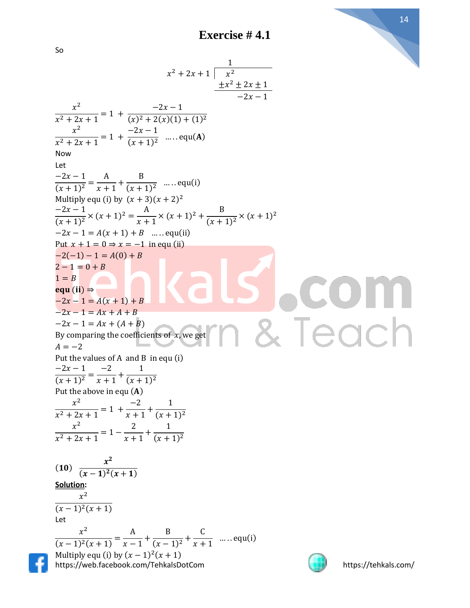So  
\n
$$
x^2 + 2x + 1 \frac{1}{x^2}
$$
\n
$$
\frac{x^2}{x^2 + 2x + 1} = 1 + \frac{-2x - 1}{(x^2 + 2x)(1 + 1)^2}
$$
\n
$$
\frac{x^2}{x^2 + 2x + 1} = 1 + \frac{-2x - 1}{(x + 1)^2}
$$
\n
$$
\frac{-2x - 1}{(x + 1)^2} = \frac{A}{x + 1} + \frac{B}{(x + 1)^2}
$$
\n
$$
\frac{-2x - 1}{(x + 1)^2} = \frac{A}{x + 1} + \frac{B}{(x + 1)^2}
$$
\n
$$
\frac{-2x - 1}{(x + 1)^2} = x(x + 1)^2 = \frac{A}{x + 1} \times (x + 1)^2 + \frac{B}{(x + 1)^2} \times (x + 1)^2
$$
\n
$$
= 2x - 1 = A(x + 1) + B
$$
\n
$$
= 2x - 1 = A(x + 1) + B
$$
\n
$$
= 2x - 1 = 4x + 4 + B
$$
\nBy comparing the coefficients of x, we get  
\n
$$
x^2 - 1 = 4x + 4 + B
$$
\nBy comparing the coefficients of x, we get  
\n
$$
A = -2
$$
\n
$$
2 - 1 = 4x + 4 + B
$$
\n
$$
= 2x - 1 = 4x + 4 + B
$$
\n
$$
= 2x - 1 = 4x + 4 + B
$$
\n
$$
= 2x - 1 = 4x + 4 + B
$$
\n
$$
= 2x - 1 = 4x + 4 + B
$$
\n
$$
= 2x - 1 = 4x + 4 + B
$$
\n
$$
= 2x - 1 = 4x + 4 + B
$$
\n
$$
= 2x - 1 = 4x + 4 + B
$$
\n
$$
= 2x - 1 = 4x + 4 + B
$$
\n
$$
= 2x - 1 = 4x + 4 + B
$$
\n
$$
= 2x - 1 = 2
$$
\n
$$
= 2x - 1 = 1
$$
\n
$$
= 2x + 1 = 1 +
$$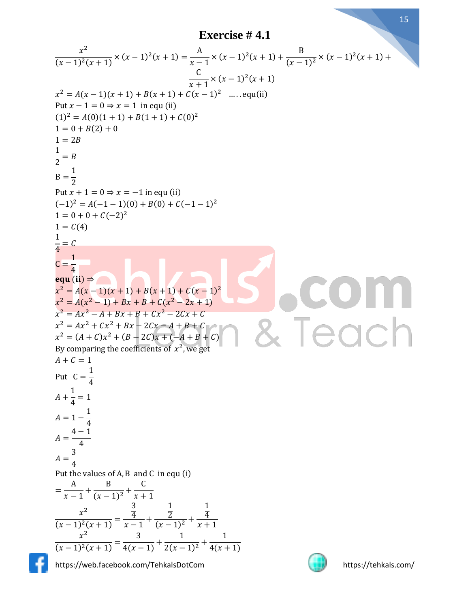**Exercise # 4.1**

$$
\frac{x^2}{(x-1)^2(x+1)} \times (x-1)^2(x+1) = \frac{A}{x-1} \times (x-1)^2(x+1) + \frac{B}{(x-1)^2} \times (x-1)^2(x+1) + \frac{C}{x+1} \times (x-1)^2(x+1) + B(x+1) + C(x-1)^2 - \dots
$$
equ(iii)  
\n
$$
x^2 = A(x-1)(x+1) + B(x+1) + C(x-1)^2 - \dots
$$
equ(ii)  
\n(1)<sup>2</sup> = A(0)(1+1) + B(1+1) + C(0)<sup>2</sup>  
\n1 = 0 + B(2) + 0  
\n1 = 2B  
\n
$$
\frac{1}{2} = B
$$
  
\n
$$
B = \frac{1}{2}
$$
  
\nPut  $x+1 = 0 \Rightarrow x = -1$  in equ (ii)  
\n(1)<sup>2</sup> = A(-1-1)(0) + B(0) + C(-1-1)<sup>2</sup>  
\n1 = 0 + 0 + C(-2)<sup>2</sup>  
\n1 = 0 + 0 + C(-2)<sup>2</sup>  
\n
$$
\frac{1}{4} = C
$$
  
\n
$$
C = \frac{1}{4}
$$
  
\n
$$
C = \frac{1}{4}
$$
  
\n
$$
C = \frac{1}{4}
$$
  
\n
$$
C = \frac{1}{4}
$$
  
\n
$$
C = \frac{1}{4}
$$
  
\n
$$
C = \frac{1}{4}
$$
  
\n
$$
A + C = 1
$$
  
\nPut  $C = \frac{1}{4}$   
\n
$$
A + \frac{1}{4} = 1
$$
  
\n
$$
A = 1 - \frac{1}{4}
$$
  
\n
$$
A = \frac{4 - 1}{4}
$$
  
\n
$$
A = \frac{4 - 1}{4}
$$
  
\n
$$
A = \frac{1}{4}
$$
  
\n
$$
A = \frac{1}{4}
$$
  
\n
$$
A = \frac{1}{4}
$$
  
\n
$$
A = \frac{1}{4}
$$
  
\n
$$
A = \frac{1}{4}
$$
  
\n
$$
A = \frac{1}{4}
$$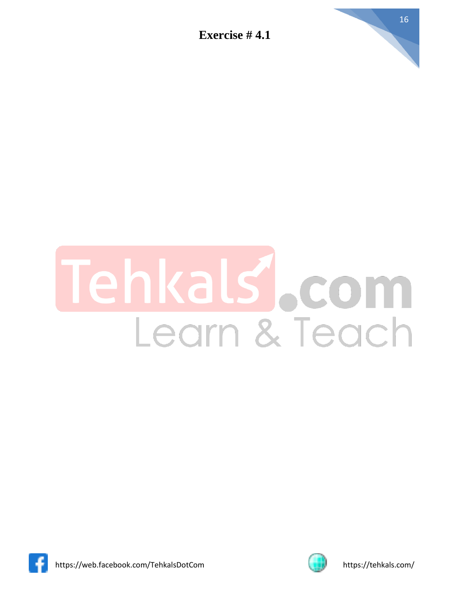

## als Com ehl Learn & Teach



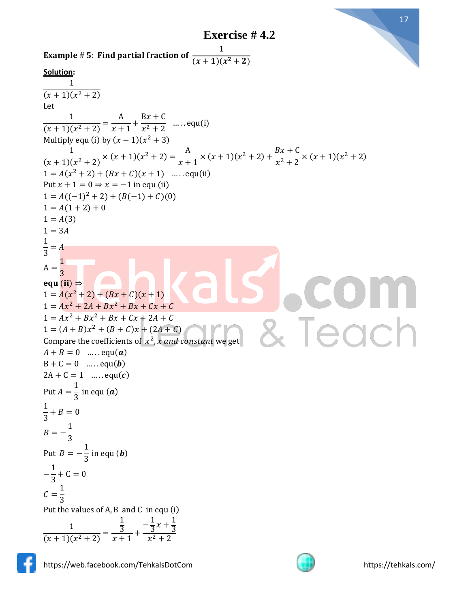**Exercise # 4.2**





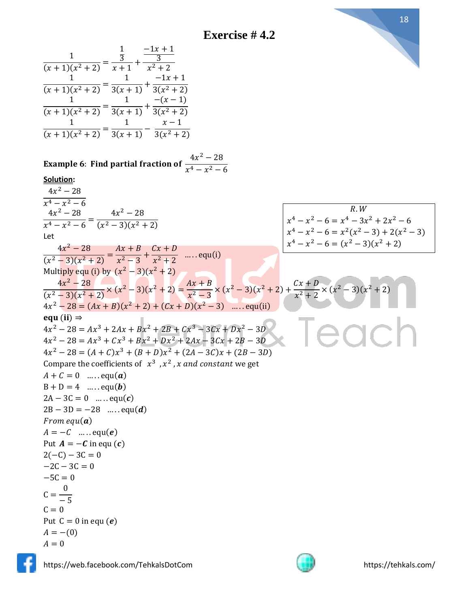**Exercise # 4.2**





 $A = -(0)$  $A = 0$ 

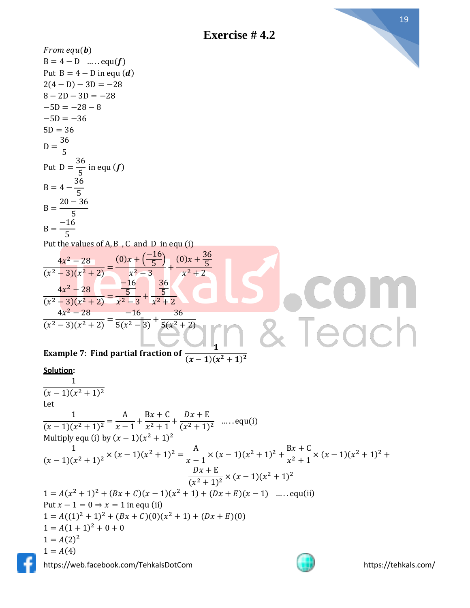

#### **Solution:**

1  $(x-1)(x^2+1)^2$ Let 1  $\frac{1}{(x-1)(x^2+1)^2}$  = A  $\frac{1}{x-1}$ +  $Bx + C$  $\frac{2}{x^2+1}$  +  $Dx + E$  $\frac{2x+2}{(x^2+1)^2}$  .... equ(i) Multiply equ (i) by  $(x - 1)(x^2 + 1)^2$ 1  $\frac{1}{(x-1)(x^2+1)^2} \times (x-1)(x^2+1)^2 = \frac{A}{x-1}$  $\frac{A}{x-1} \times (x-1)(x^2+1)^2 + \frac{Bx+C}{x^2+1}$  $\frac{3x+6}{x^2+1} \times (x-1)(x^2+1)^2 +$  $Dx + E$  $\frac{bx+1}{(x^2+1)^2} \times (x-1)(x^2+1)^2$  $1 = A(x^2 + 1)^2 + (Bx + C)(x - 1)(x^2 + 1) + (Dx + E)(x - 1)$  ..... equ(ii) Put  $x - 1 = 0 \Rightarrow x = 1$  in equ (ii)  $1 = A((1)^{2} + 1)^{2} + (Bx + C)(0)(x^{2} + 1) + (Dx + E)(0)$  $1 = A(1 + 1)^2 + 0 + 0$  $1 = A(2)^2$  $1 = A(4)$ 

https://web.facebook.com/TehkalsDotCom https://tehkals.com/

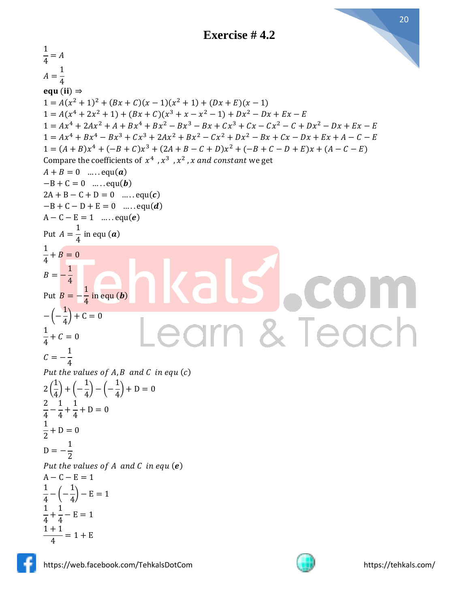

 $\frac{1}{4} = A$ 1  $A=$ 4 equ (ii)  $\Rightarrow$  $1 = A(x^2 + 1)^2 + (Bx + C)(x - 1)(x^2 + 1) + (Dx + E)(x - 1)$  $1 = A(x^4 + 2x^2 + 1) + (Bx + C)(x^3 + x - x^2 - 1) + Dx^2 - Dx + Ex - E$  $1 = Ax<sup>4</sup> + 2Ax<sup>2</sup> + A + Bx<sup>4</sup> + Bx<sup>2</sup> - Bx<sup>3</sup> - Bx + Cx<sup>3</sup> + Cx - Cx<sup>2</sup> - C + Dx<sup>2</sup> - Dx + Ex - E$  $1 = Ax^{4} + Bx^{4} - Bx^{3} + Cx^{3} + 2Ax^{2} + Bx^{2} - Cx^{2} + Dx^{2} - Bx + Cx - Dx + Ex + A - C - E$  $1 = (A + B)x^{4} + (-B + C)x^{3} + (2A + B - C + D)x^{2} + (-B + C - D + E)x + (A - C - E)$ Compare the coefficients of  $x^4$ ,  $x^3$ ,  $x^2$ , x and constant we get  $A + B = 0$  ..... equ(a)  $-B+C=0$  … . . . equ(**b**)  $2A + B - C + D = 0$  ..... equ(c)  $-B + C - D + E = 0$  ..... equ(*d*)  $A - C - E = 1$  ..... equ(e) 1 Put  $A =$  $\frac{1}{4}$  in equ (**a**) 1  $\frac{1}{4} + B = 0$ 1  $B = -$ 4 1 Put  $B = \frac{1}{4}$  in equ (b) 1 − (−  $\frac{1}{4}$  + C = 0 eac 1  $\frac{1}{4} + C = 0$ 1  $C = -$ 4 Put the values of  $A, B$  and  $C$  in equ $(C)$ 1 1 1 2 (  $\frac{1}{4}$  + (- $\frac{1}{4}$ ) – (–  $\frac{1}{4}$  + D = 0 2 1 1  $\frac{1}{4}$  –  $\frac{1}{4}$  +  $\frac{1}{4} + D = 0$ 1  $\frac{1}{2} + D = 0$ 1  $D = -$ 2 Put the values of  $A$  and  $C$  in equ  $(e)$  $A - C - E = 1$ 1 1  $\frac{1}{4} - ( \frac{1}{4}$ ) – E = 1 1 1  $\frac{1}{4}$  +  $\frac{1}{4} - E = 1$  $1 + 1$  $\frac{1}{4}$  = 1 + E



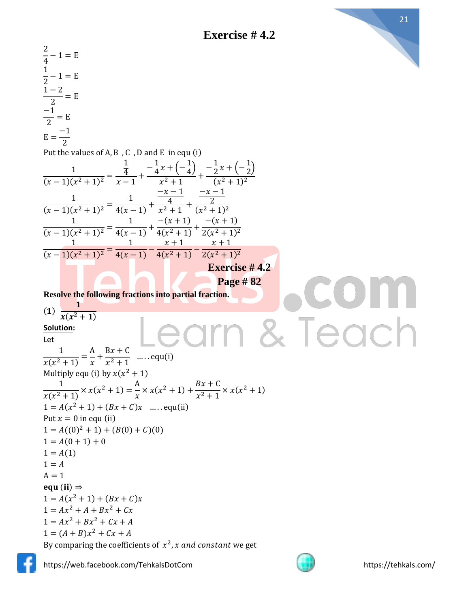



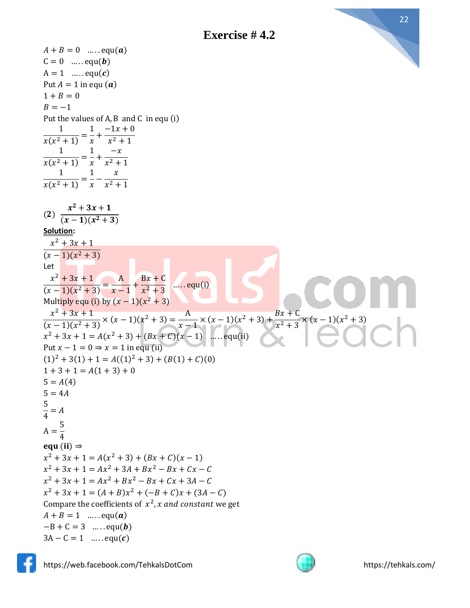

1

1

1

 $(2)$ 

Let

5  $\frac{1}{4} = A$ 

 $A =$ 5 4

 $-B + C = 3$  ..... equ(**b**)  $3A - C = 1$  ..... equ(c)

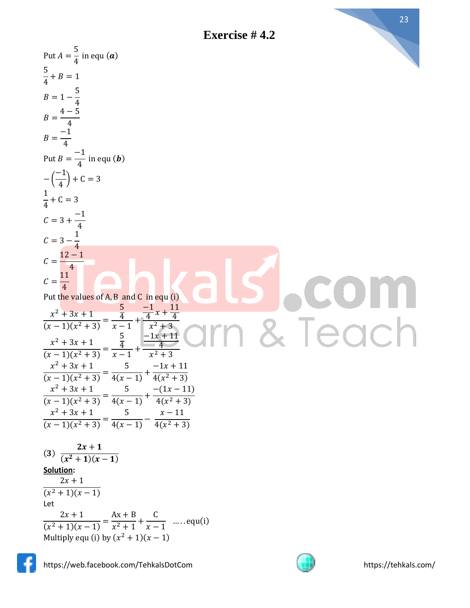23

Put  $A = \frac{5}{4}$  in equ (**a**)  $\frac{5}{4} + B = 1$  $B = 1 - \frac{5}{4}$  $4 - 5$  $B=$ 4  $\frac{-1}{4}$  $B=$  $\frac{-1}{4}$  in equ (**b**) Put  $B =$  $\left(\frac{-1}{4}\right) + C = 3$ − (  $\frac{1}{4}$  + C = 3  $\frac{-1}{4}$  $C = 3 +$  $C = 3 - \frac{1}{4}$  $12 - 1$  $\mathcal{C}=$ 4  $C = \frac{11}{4}$ Put the values of A, B and C in equ (i)  $\frac{x^2+3x+1}{(x-1)(x^2+3)} = \frac{\frac{5}{4}}{x-1}$  $\frac{-1}{4}x + \frac{11}{4}$  $x^2 + 3x + 1$ & Teach  $\frac{4}{x-1}$  +  $x^2 + 3$  $\frac{x^2+3x+1}{(x-1)(x^2+3)} = \frac{\frac{5}{4}}{x-1}$  $-1x + 11$  $x^2 + 3x + 1$ 4  $\frac{4}{x-1}$ +  $x^2 + 3$  $x^2 + 3x + 1$ 5  $-1x + 11$  $\frac{(x-1)(x^2+3)}{(x-1)(x^2+3)} =$  $\frac{1}{4(x-1)} +$  $4(x^2+3)$  $x^2 + 3x + 1$ 5  $-(1x - 11)$  $\frac{(x-1)(x^2+3)}{(x-1)(x^2+3)} =$  $\frac{1}{4(x-1)} +$  $4(x^2+3)$  $x^2 + 3x + 1$ 5  $x - 11$  $\frac{(x-1)(x^2+3)}{(x-1)(x^2+3)} =$  $\frac{1}{4(x-1)}$  –  $4(x^2+3)$  $2x+1$  $(3)$  $(x^2+1)(x-1)$ **Solution :**  $2x + 1$  $(x^2+1)(x-1)$ Let  $2x + 1$  $Ax + B$ C  $\frac{1}{(x^2+1)(x-1)} =$  $\frac{1}{x^2+1}$  +  $\frac{1}{x-1}$  ..... equ(i) Multiply equ (i) by  $(x^2 + 1)(x - 1)$ 

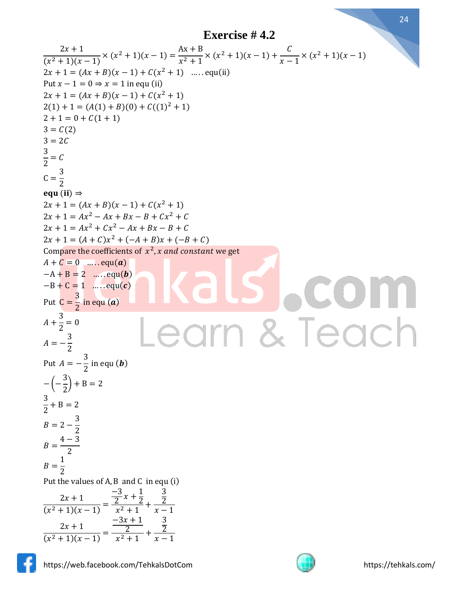$$
\frac{2x+1}{(x^2+1)(x-1)} \times (x^2 + 1)(x-1) = \frac{Ax+B}{x^2+1} \times (x^2 + 1)(x-1) + \frac{C}{x-1} \times (x^2 + 1)(x-1)
$$
\nPut  $x-1 = (Ax + B)(x-1) + C(x^2 + 1)$  .... equal (i)  
\nPut  $x-1 = 0 \Rightarrow x = 1$  in equ (i)  
\n $2x + 1 = (Ax + B)(x-1) + C(x^2 + 1)$   
\n $2(1) + 1 = (A(1) + B)(0) + C((1)^2 + 1)$   
\n $2 + 1 = 0 + C(1 + 1)$   
\n $3 = C(2)$   
\n $3 = C(2)$   
\n $2 = \frac{3}{2}$   
\n $C = \frac{3}{2}$   
\n $C = \frac{3}{2}$   
\n $2 \le C$   
\n $C = \frac{3}{2}$   
\n $2 \le C$   
\n $2 \le C$   
\n $2 \le C$   
\n $2 \le C$   
\n $2 \le C$   
\n $2 \le C$   
\n $2 \le C$   
\n $2 \le C$   
\n $2 \le C$   
\n $2 \le C$   
\n $2 \le C$   
\n $2 \le C$   
\n $2 \le C$   
\n $2 \le C$   
\n $2 \le C$   
\n $2 \le C$   
\n $2 \le C$   
\n $2 \le C$   
\n $2 \le C$   
\n $2 \le C$   
\n $2 \le C$   
\n $2 \le C$   
\n $2 \le C$   
\n $2 \le C$   
\n $2 \le C$   
\n $2 \le C$   
\n $2 \le C$   
\n $2 \le C$   
\n $2 \le C$   
\n $2 \le C$   
\n $2 \le C$   
\n $2 \le C$ <



https://web.facebook.com/TehkalsDotCom https://tehkals.com/

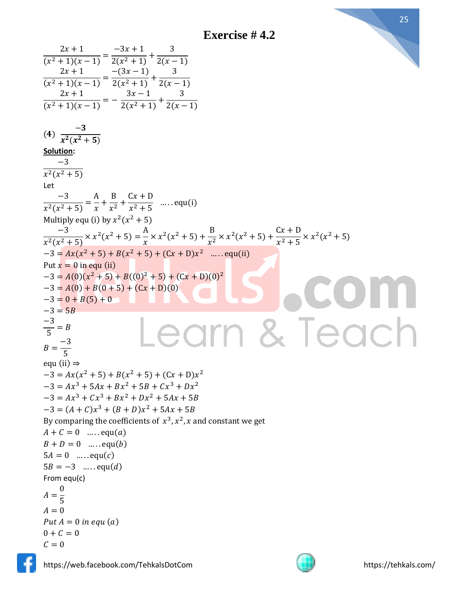**Exercise # 4.2**

 $2x + 1$  $-3x + 1$ 3  $\frac{1}{(x^2+1)(x-1)} =$  $\frac{2(x^2+1)}{2(x^2+1)}$  $2(x - 1)$  $2x + 1$  $-(3x-1)$ 3  $\frac{1}{(x^2+1)(x-1)} =$  $\frac{2(x^2+1)}{x^2+1}$  $2(x - 1)$  $2x + 1$  $3x - 1$ 3  $\frac{1}{(x^2+1)(x-1)} = \frac{1}{2(x^2+1)} +$  $2(x - 1)$  $-3$  $(4)$  $x^2(x^2+5)$ **Solution:** −3  $x^2(x^2+5)$ Let −3 A B  $Cx + D$  $\frac{1}{x^2(x^2+5)}$  =  $\frac{1}{x}$  +  $\frac{1}{x^2}$  +  $\frac{2x+2}{x^2+5}$  ..... equ(i) Multiply equ (i) by  $x^2(x^2 + 5)$  $\frac{-3}{x^2(x^2+5)} \times x^2(x^2+5) = \frac{A}{x}$ −3  $\frac{A}{x} \times x^2 (x^2 + 5) + \frac{B}{x^2}$  $\frac{B}{x^2} \times x^2 (x^2 + 5) + \frac{Cx + D}{x^2 + 5}$  $\frac{6x+6}{x^2+5} \times x^2(x^2+5)$  $-3 = Ax(x^2 + 5) + B(x^2 + 5) + (Cx + D)x^2$  .....equ(ii) Put  $x = 0$  in equ (ii)  $-3 = A(0)(x^2 + 5) + B((0)^2 + 5) + (Cx + D)(0)^2$  $-3 = A(0) + B(0 + 5) + (Cx + D)(0)$  $-3 = 0 + B(5) + 0$  $-3 = 5B$ arn & Teach −3  $\frac{1}{5}$  = B −3  $B=$ 5 equ (ii)  $\Rightarrow$  $-3 = Ax(x^2 + 5) + B(x^2 + 5) + (Cx + D)x^2$  $-3 = Ax^3 + 5Ax + Bx^2 + 5B + Cx^3 + Dx^2$  $-3 = Ax^3 + Cx^3 + Bx^2 + Dx^2 + 5Ax + 5B$  $-3 = (A + C)x^{3} + (B + D)x^{2} + 5Ax + 5B$ By comparing the coefficients of  $x^3, x^2, x$  and constant we get  $A + C = 0$  ..... equ(*a*)  $B + D = 0$  ..... equ(b)  $5A = 0$  ..... equ(c)  $5B = -3$  .... equ(d) From equ(c) 0  $A=$ 5  $A = 0$ Put  $A = 0$  in equ (a)  $0 + C = 0$  $C = 0$ 



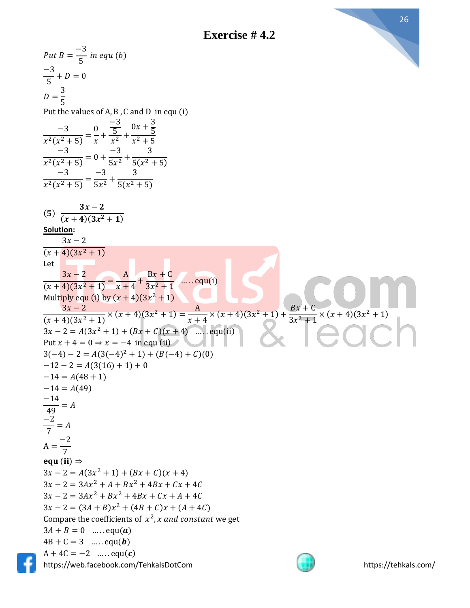



https://web.facebook.com/TehkalsDotCom https://tehkals.com/  $Put B =$ −3  $\frac{6}{5}$  in equ (b) −3  $\frac{1}{5} + D = 0$  $D=$ 3 5 Put the values of A, B , C and D in equ (i) −3  $\frac{1}{x^2(x^2+5)}$  = 0  $\frac{1}{x}$  + −3 5  $\frac{3}{x^2}$  +  $0x + \frac{3}{5}$ 5  $x^2 + 5$ −3  $\frac{1}{x^2(x^2+5)} = 0 +$ −3  $\frac{1}{5x^2}$  + 3  $5(x^2+5)$ −3  $\frac{1}{x^2(x^2+5)}$  = −3  $\frac{1}{5x^2}$  + 3  $5(x^2 + 5)$  $(5)$  $3x-2$  $(x+4)(3x^2+1)$ **Solution:**  $3x - 2$  $(x+4)(3x^2+1)$ Let  $3x - 2$  $\frac{1}{(x+4)(3x^2+1)}$  = A  $\frac{1}{x+4}$  $Bx + C$  $\frac{3x^2+1}{x^2+1}$  ..... equ(i) Multiply equ (i) by  $(x + 4)(3x^2 + 1)$  $3x - 2$  $\frac{3x-2}{(x+4)(3x^2+1)} \times (x+4)(3x^2+1) = \frac{A}{x+1}$  $\frac{A}{x+4} \times (x+4)(3x^2+1) + \frac{Bx+C}{3x^2+1}$  $\frac{2x+8}{3x^2+1}$  ×  $(x+4)(3x^2+1)$  $3x - 2 = A(3x^2 + 1) + (Bx + C)(x + 4)$  .... equ(ii) Put  $x + 4 = 0 \Rightarrow x = -4$  in equ (ii)  $3(-4) - 2 = A(3(-4)^{2} + 1) + (B(-4) + C)(0)$  $-12 - 2 = A(3(16) + 1) + 0$  $-14 = A(48 + 1)$  $-14 = A(49)$ −14  $\frac{1}{49} = A$ −2  $\frac{1}{7} = A$  $A =$ −2 7 equ (ii)  $\Rightarrow$  $3x - 2 = A(3x^2 + 1) + (Bx + C)(x + 4)$  $3x - 2 = 3Ax^2 + A + Bx^2 + 4Bx + Cx + 4C$  $3x - 2 = 3Ax^2 + Bx^2 + 4Bx + Cx + A + 4C$  $3x - 2 = (3A + B)x^{2} + (4B + C)x + (A + 4C)$ Compare the coefficients of  $x^2$ , x and constant we get  $3A + B = 0$  ..... equ(**a**)  $4B + C = 3$  ..... equ(**b**)  $A + 4C = -2$  .....equ(c)

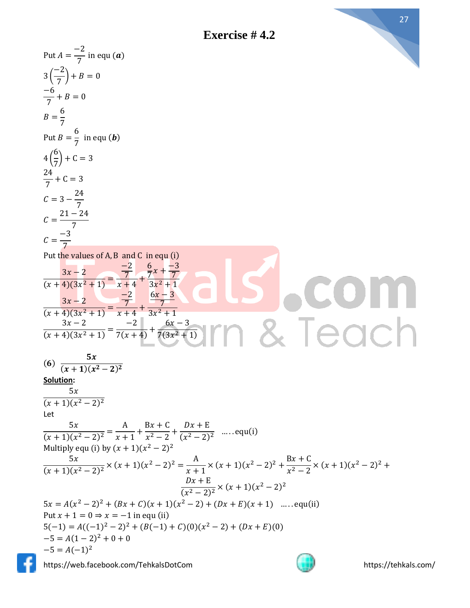Put  $A =$ 

−2



 $\frac{1}{7}$  in equ  $(a)$ −2 3 (  $\left(\frac{-}{7}\right) + B = 0$ −6  $\frac{1}{7} + B = 0$ 6  $B=$ 7 6  $\frac{0}{7}$  in equ (**b**) Put  $B =$ 6 4 (  $\frac{1}{7}$  + C = 3 24  $\frac{1}{7} + C = 3$ 24  $C = 3 -$ 7 21 − 24  $\mathcal{C}=$ 7 −3  $\mathcal{C}=$ 7 Put the values of A, B and C in equ (i) −2 6  $\frac{6}{7}x + \frac{-3}{7}$  $3x - 2$ 7 7  $\frac{1}{(x+4)(3x^2+1)}$  =  $\frac{7}{x+4}$  +  $3x^2 + 1$ −2  $6x - 3$  $3x - 2$ 7 7  $\frac{1}{(x+4)(3x^2+1)}$  =  $\frac{7}{x+4}$  +  $3x^2 + 1$ & Teach  $3x - 2$ −2  $6x - 3$  $\frac{1}{(x+4)(3x^2+1)} =$  $\frac{1}{7(x+4)} +$  $7(3x^2+1)$  $5x$  $(6)$  $(x+1)(x^2-2)^2$ **Solution:**  $5x$  $(x + 1)(x<sup>2</sup> – 2)<sup>2</sup>$ Let  $5x$ A  $Bx + C$  $Dx + E$  $\frac{2x+2}{(x^2-2)^2}$  ..... equ(i)  $\frac{1}{(x+1)(x^2-2)^2}$  =  $\frac{1}{x+1}$ +  $\frac{2}{x^2-2}$  + Multiply equ (i) by  $(x + 1)(x^2 - 2)^2$  $\frac{5x}{(x+1)(x^2-2)^2}$  ×  $(x+1)(x^2-2)^2 = \frac{A}{x+1}$  $5x$  $\frac{A}{x+1} \times (x+1)(x^2-2)^2 + \frac{Bx+C}{x^2-2}$  $\frac{2x+6}{x^2-2} \times (x+1)(x^2-2)^2 +$  $Dx + E$  $\frac{bx+2}{(x^2-2)^2} \times (x+1)(x^2-2)^2$  $5x = A(x^2 - 2)^2 + (Bx + C)(x + 1)(x^2 - 2) + (Dx + E)(x + 1)$  ...... equ(ii) Put  $x + 1 = 0 \Rightarrow x = -1$  in equ (ii)  $5(-1) = A((-1)^2 - 2)^2 + (B(-1) + C)(0)(x^2 - 2) + (Dx + E)(0)$  $-5 = A(1-2)^2 + 0 + 0$  $-5 = A(-1)^2$ https://web.facebook.com/TehkalsDotCom https://tehkals.com/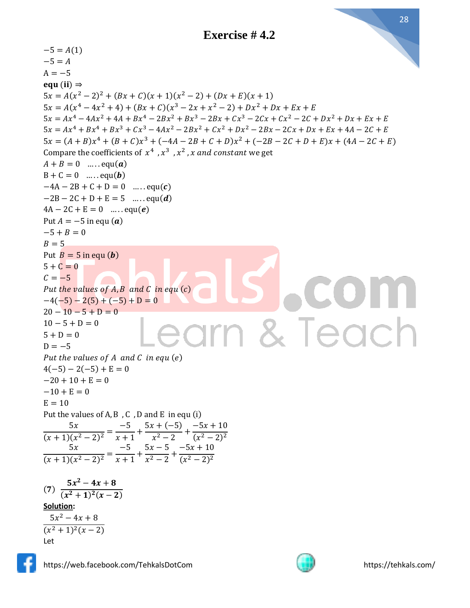$-5 = A(1)$  $-5 = A$  $A = -5$ equ (ii)  $\Rightarrow$  $5x = A(x^2 - 2)^2 + (Bx + C)(x + 1)(x^2 - 2) + (Dx + E)(x + 1)$  $5x = A(x^4 - 4x^2 + 4) + (Bx + C)(x^3 - 2x + x^2 - 2) + Dx^2 + Dx + Ex + E$  $5x = Ax<sup>4</sup> - 4Ax<sup>2</sup> + 4A + Bx<sup>4</sup> - 2Bx<sup>2</sup> + Bx<sup>3</sup> - 2Bx + Cx<sup>3</sup> - 2Cx + Cx<sup>2</sup> - 2C + Dx<sup>2</sup> + Dx + Ex + E$  $5x = Ax^{4} + Bx^{4} + Bx^{3} + Cx^{3} - 4Ax^{2} - 2Bx^{2} + Cx^{2} + Dx^{2} - 2Bx - 2Cx + Dx + Ex + 4A - 2C + E$  $5x = (A + B)x^{4} + (B + C)x^{3} + (-4A - 2B + C + D)x^{2} + (-2B - 2C + D + E)x + (4A - 2C + E)$ Compare the coefficients of  $x^4$ ,  $x^3$ ,  $x^2$ , x and constant we get  $A + B = 0$  ..... equ(a)  $B + C = 0$  ..... equ(b)  $-4A - 2B + C + D = 0$  ..... equ(c)  $-2B - 2C + D + E = 5$  .... equ(*d*)  $4A - 2C + E = 0$  ..... equ(e) Put  $A = -5$  in equ  $(a)$  $-5 + B = 0$  $R = 5$ Put  $B = 5$  in equ  $(b)$  $5 + C = 0$  $C = -5$ Put the values of  $A, B$  and  $C$  in equ $(c)$  $-4(-5) - 2(5) + (-5) + D = 0$  $20 - 10 - 5 + D = 0$ arn & Teach  $10 - 5 + D = 0$  $5 + D = 0$  $D = -5$ Put the values of  $A$  and  $C$  in equ  $(e)$  $4(-5) - 2(-5) + E = 0$  $-20 + 10 + E = 0$  $-10 + E = 0$  $E = 10$ Put the values of  $A, B, C, D$  and  $E$  in equ (i)  $5x$ −5  $5x + (-5)$  $-5x + 10$  $\frac{1}{(x+1)(x^2-2)^2}$  =  $\frac{1}{x+1}$ +  $\frac{x^2-2}{x^2-2}$  +  $(x^2 - 2)^2$  $5x$ −5  $5x - 5$  $-5x + 10$  $\frac{1}{(x+1)(x^2-2)^2}$  =  $\frac{1}{x+1}$ +  $\frac{2}{x^2-2}$  +  $(x^2 - 2)^2$  $5x^2 - 4x + 8$  $(7)$  $(x^2+1)^2(x-2)$ **Solution:**  $5x^2 - 4x + 8$  $(x^2+1)^2(x-2)$ Let



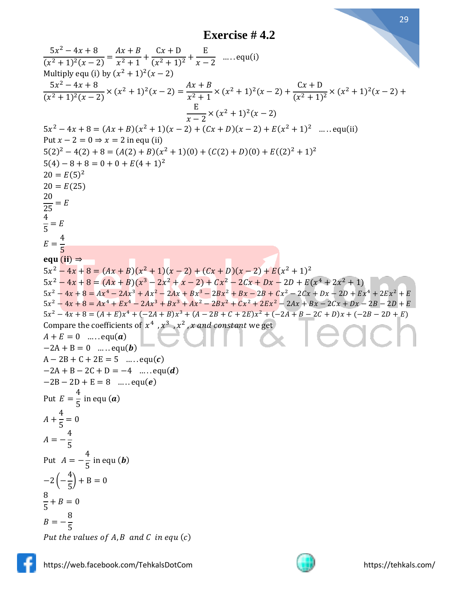**Exercise # 4.2**

$$
\frac{5x^2 - 4x + 8}{(x^2 + 1)^2(x - 2)} = \frac{4x + B}{x^2 + 1} + \frac{Cx + D}{(x^2 + 1)^2} + \frac{E}{x - 2} \quad ....\text{equ}(i)
$$
\n
$$
\frac{5x^2 - 4x + 8}{(x^2 + 1)^2(x - 2)} \times (x^2 + 1)^2(x - 2) = \frac{4x + B}{x^2 + 1} \times (x^2 + 1)^2(x - 2) + \frac{Cx + D}{(x^2 + 1)^2} \times (x^2 + 1)^2(x - 2) + \frac{E}{x - 2} \times (x^2 + 1)^2(x - 2) + \frac{E}{x - 2} \times (x^2 + 1)^2(x - 2) + \frac{E}{(x^2 + 1)^2} \times ....\text{equ}(ii)
$$
\n
$$
= 2x^2 - 4x + 8 = (Ax + B)(x^2 + 1)(x - 2) + (Cx + D)(x - 2) + E(x^2 + 1)^2 \quad ....\text{equ}(ii)
$$
\n
$$
= 5x^2 - 4(2) + 8 = (A(2) + B)(x^2 + 1)(0) + (C(2) + D)(0) + E((2)^2 + 1)^2
$$
\n
$$
= 5(6)^2
$$
\n
$$
= 6(25)
$$
\n
$$
\frac{20}{25} = E
$$
\n
$$
= \frac{4}{5}
$$
\n
$$
= \frac{4}{5}
$$
\n
$$
= \frac{4}{5}
$$
\n
$$
= \frac{4}{5}
$$
\n
$$
= 5
$$
\n
$$
= \frac{4}{5}
$$
\n
$$
= 5
$$
\n
$$
= \frac{4}{5}
$$
\n
$$
= 5
$$
\n
$$
= \frac{4}{5}
$$
\n
$$
= 5
$$
\n
$$
= \frac{4}{5}
$$
\n
$$
= 5
$$
\n
$$
= 5
$$
\n
$$
= 5
$$
\n
$$
= 5
$$
\n
$$
= 5
$$
\n
$$
= 5
$$
\n
$$
= 5
$$
\n

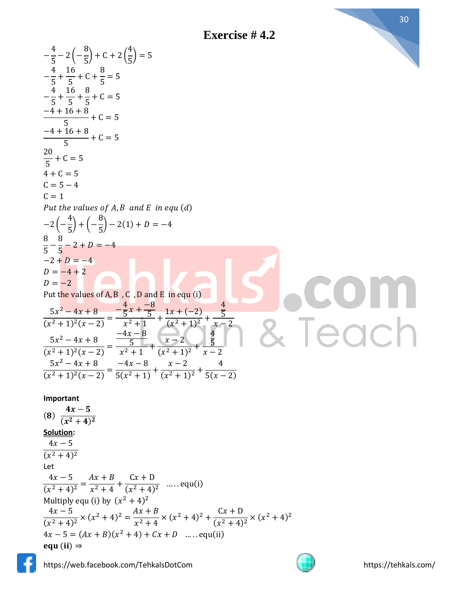**Exercise # 4.2**

$$
-\frac{4}{5} - 2(-\frac{8}{5}) + C + 2(\frac{4}{5}) = 5
$$
\n
$$
-\frac{4}{5} + \frac{16}{5} + C + \frac{8}{5} = 5
$$
\n
$$
-\frac{4}{5} + \frac{16}{5} + \frac{8}{5} + C = 5
$$
\n
$$
-\frac{4 + 16 + 8}{5} + C = 5
$$
\n
$$
\frac{20}{5} + C = 5
$$
\n
$$
C = 5 - 4
$$
\n
$$
C = 1
$$
\nPut the values of A, B and E in equ (d)\n
$$
-2(-\frac{4}{5}) + (-\frac{8}{5}) - 2(1) + D = -4
$$
\n
$$
\frac{8}{5} - \frac{8}{5} - 2 + D = -4
$$
\n
$$
D = -2 + D = -4
$$
\n
$$
D = -2 + 2
$$
\nPut the values of A, B, C, D and E in equ (i)\n
$$
\frac{5x^2 - 4x + 8}{(x^2 + 1)^2(x - 2)} = \frac{-4x + 8}{x^2 + 1} + \frac{1x + (-2)}{(x^2 + 1)^2} + \frac{4}{x - 2}
$$
\n
$$
\frac{5x^2 - 4x + 8}{(x^2 + 1)^2(x - 2)} = \frac{-4x - 8}{x^2 + 1} + \frac{x - 2}{(x^2 + 1)^2} + \frac{4}{x - 2}
$$
\n
$$
\frac{5x^2 - 4x + 8}{(x^2 + 1)^2(x - 2)} = \frac{-4x - 8}{5(x^2 + 1)} + \frac{x - 2}{(x^2 + 1)^2} + \frac{4}{5(x - 2)}
$$
\n
$$
\frac{5x^2 - 4x + 8}{(x^2 + 1)^2(x - 2)} = \frac{-4x - 8}{5(x^2 + 1)} + \frac{x - 2}{(x^2 + 1)^2} + \frac{4}{5(x - 2)}
$$
\n
$$
\frac{5x^2 - 4x + 8}{(x^2 + 4)^2} = \frac{-4x + 8}{(x^2 + 4)^2}
$$
\n
$$
\frac{4x - 5}{(x^2 + 4)^2} = \frac{4
$$

https://web.facebook.com/TehkalsDotCom https://tehkals.com/

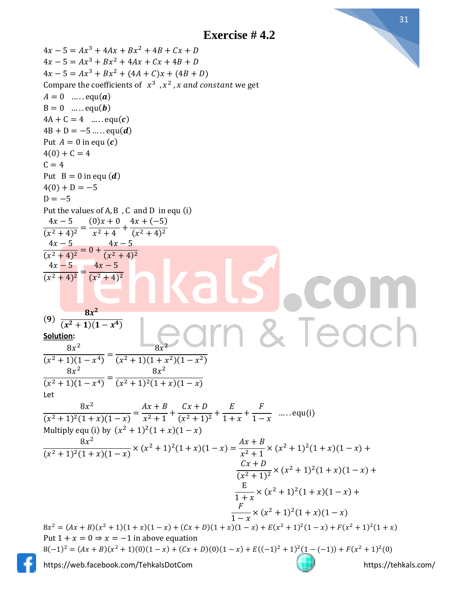

 $4x - 5 = Ax^3 + 4Ax + Bx^2 + 4B + Cx + D$  $4x - 5 = Ax^3 + Bx^2 + 4Ax + Cx + 4B + D$  $4x - 5 = Ax^3 + Bx^2 + (4A + C)x + (4B + D)$ Compare the coefficients of  $x^3$ ,  $x^2$ , x and constant we get  $A = 0$  ..... equ(a)  $B = 0$  ..... equ(**b**)  $4A + C = 4$  ..... equ(c)  $4B + D = -5$  ..... equ(*d*) Put  $A = 0$  in equ  $(c)$  $4(0) + C = 4$  $C = 4$ Put  $B = 0$  in equ  $(d)$  $4(0) + D = -5$  $D = -5$ Put the values of A, B , C and D in equ (i)  $4x - 5$  $(0)x + 0$  $4x + (-5)$  $\frac{1}{(x^2+4)^2}$  =  $\frac{2}{x^2+4}$  +  $(x^2+4)^2$  $4x - 5$  $4x - 5$  $\frac{1}{(x^2+4)^2} = 0 +$  $(x^2+4)^2$  $4x - 5$  $4x - 5$  $\frac{1}{(x^2+4)^2}$  =  $(x^2+4)^2$  $8x^2$  $(9)$ & Teach  $(x^2+1)(1-x^4)$ **Solution:**  $8x^2$ 2  $8x$  $\frac{1}{(x^2+1)(1-x^4)} =$  $(x^2+1)(1+x^2)(1-x^2)$  $8x^2$  $8x^2$  $\frac{1}{(x^2+1)(1-x^4)} =$  $(x^2+1)^2(1+x)(1-x)$ Let  $8x^2$  $Ax + B$  $Cx + D$ E F  $\frac{1}{(x^2+1)^2(1+x)(1-x)} =$  $\frac{1}{x^2+1}$  +  $\frac{(x^2+1)^2}{(x^2+1)^2}$  $\frac{-}{1+x}$ +  $\frac{1}{1-x}$  ..... equ(i) Multiply equ (i) by  $(x^2 + 1)^2(1 + x)(1 - x)$  $8x^2$  $Ax + B$  $\frac{6x}{(x^2+1)^2(1+x)(1-x)} \times (x^2+1)^2(1+x)(1-x) =$  $\frac{2}{x^2+1}$  ×  $(x^2+1)^2(1+x)(1-x)$  +  $Cx + D$  $\frac{(x+2)}{(x^2+1)^2}$   $\times$   $(x^2+1)^2(1+x)(1-x)$  + E  $\frac{1}{1+x}$  ×  $(x^2 + 1)^2(1+x)(1-x)$  + F  $\frac{1}{1-x} \times (x^2+1)^2(1+x)(1-x)$  $8x^2 = (Ax + B)(x^2 + 1)(1 + x)(1 - x) + (Cx + D)(1 + x)(1 - x) + E(x^2 + 1)^2(1 - x) + F(x^2 + 1)^2(1 + x)$ Put  $1 + x = 0 \Rightarrow x = -1$  in above equation  $8(-1)^2 = (Ax + B)(x^2 + 1)(0)(1 - x) + (Cx + D)(0)(1 - x) + E((-1)^2 + 1)^2(1 - (-1)) + F(x^2 + 1)^2(0)$ https://web.facebook.com/TehkalsDotCom https://tehkals.com/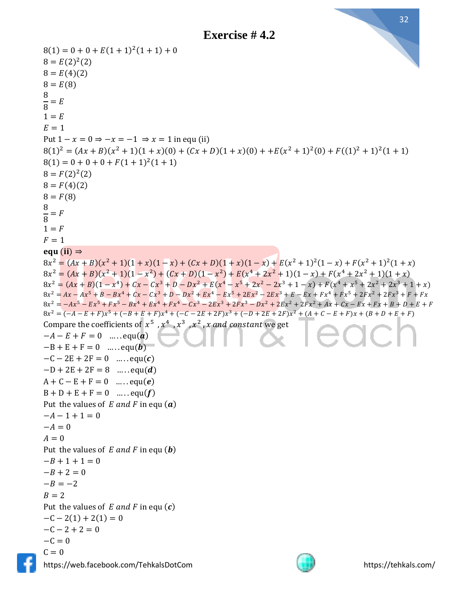

https://web.facebook.com/TehkalsDotCom https://tehkals.com/  $8(1) = 0 + 0 + E(1 + 1)^{2}(1 + 1) + 0$  $8 = E(2)^{2}(2)$  $8 = E(4)(2)$  $8 = E(8)$ 8  $\overline{8}$  $= E$  $1 = E$  $E = 1$ Put  $1 - x = 0 \Rightarrow -x = -1 \Rightarrow x = 1$  in equ (ii)  $8(1)^2 = (Ax + B)(x^2 + 1)(1 + x)(0) + (Cx + D)(1 + x)(0) + +E(x^2 + 1)^2(0) + F((1)^2 + 1)^2(1 + 1)$  $8(1) = 0 + 0 + 0 + F(1 + 1)^{2}(1 + 1)$  $8 = F(2)^2(2)$  $8 = F(4)(2)$  $8 = F(8)$ 8  $\overline{8}$  $=$   $\overline{F}$  $1 = F$  $F = 1$ equ (ii)  $\Rightarrow$  $8x^2 = (Ax + B)(x^2 + 1)(1 + x)(1 - x) + (Cx + D)(1 + x)(1 - x) + E(x^2 + 1)^2(1 - x) + F(x^2 + 1)^2(1 + x)$  $8x^2 = (Ax + B)(x^2 + 1)(1 - x^2) + (Cx + D)(1 - x^2) + E(x^4 + 2x^2 + 1)(1 - x) + F(x^4 + 2x^2 + 1)(1 + x)$  $8x^2 = (Ax + B)(1 - x^4) + Cx - Cx^3 + D - Dx^2 + E(x^4 - x^5 + 2x^2 - 2x^3 + 1 - x) + F(x^4 + x^5 + 2x^2 + 2x^3 + 1 + x)$  $8x^2 = Ax - Ax^5 + B - Bx^4 + Cx - Cx^3 + D - Dx^2 + Ex^4 - Ex^5 + 2Ex^2 - 2Ex^3 + E - Ex + Fx^4 + Fx^5 + 2Fx^2 + 2Fx^3 + F + Fx^4$  $8x^2 = -Ax^5 - Ex^5 + Fx^5 - Bx^4 + Ex^4 + Fx^4 - Cx^3 - 2Ex^3 + 2Fx^3 - Dx^2 + 2Ex^2 + 2Fx^2 + Ax + Cx - Ex + Fx + B + D + E + F$  $8x^2 = (-A - E + F)x^5 + (-B + E + F)x^4 + (-C - 2E + 2F)x^3 + (-D + 2E + 2F)x^2 + (A + C - E + F)x + (B + D + E + F)$ Compare the coefficients of  $x^5$  ,  $x^4$  ,  $x^3$  ,  $x^2$  , x and constant we get  $-A - E + F = 0$  .....equ(*a*)  $-B + E + F = 0$  ..... equ(**b**)  $-C - 2E + 2F = 0$  ..... equ(c)  $-D + 2E + 2F = 8$  ..... equ(*d*)  $A + C - E + F = 0$  ..... equ(e)  $B + D + E + F = 0$  ..... equ(f) Put the values of  $E$  and  $F$  in equ  $(a)$  $-A-1+1=0$  $-A = 0$  $A = 0$ Put the values of  $E$  and  $F$  in equ  $(b)$  $-B + 1 + 1 = 0$  $-B + 2 = 0$  $-B = -2$  $B = 2$ Put the values of  $E$  and  $F$  in equ  $(c)$  $-C - 2(1) + 2(1) = 0$  $-C - 2 + 2 = 0$  $-C = 0$  $C = 0$ 

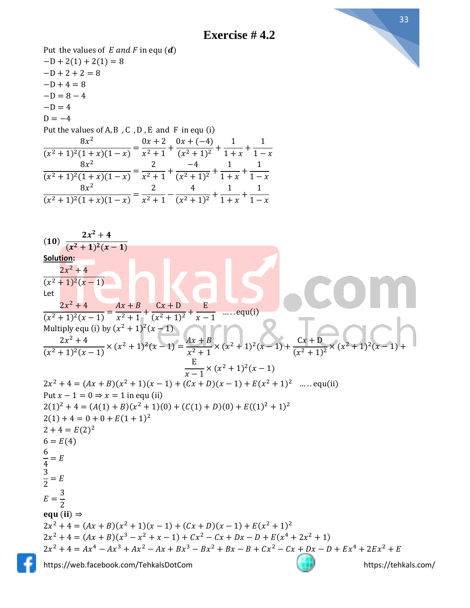

33

https://web.facebook.com/TehkalsDotCom https://tehkals.com/ Put the values of  $E$  and  $F$  in equ  $(d)$  $-D + 2(1) + 2(1) = 8$  $-D+2+2=8$  $-D+4=8$  $-D = 8 - 4$  $-D = 4$  $D = -4$ Put the values of  $A$ ,  $B$ ,  $C$ ,  $D$ ,  $E$  and  $F$  in equ (i)  $8x^2$  $\frac{1}{(x^2+1)^2(1+x)(1-x)} =$  $0x + 2$  $\frac{x^2+1}{x^2+1}$  $0x + (-4)$  $\frac{(x^2+1)^2}{(x^2+1)^2}$ 1  $\frac{1}{1+x}$ 1  $1 - x$  $8x^2$  $\frac{1}{(x^2+1)^2(1+x)(1-x)} =$ 2  $\frac{1}{x^2+1}$  + −4  $\frac{1}{(x^2+1)^2} +$ 1  $\frac{-1}{1+x}$ 1  $1 - x$  $8x^2$  $\frac{1}{(x^2+1)^2(1+x)(1-x)} =$ 2  $\frac{1}{x^2+1}$  – 4  $\frac{1}{(x^2+1)^2} +$ 1  $\frac{1}{1+x}$ 1  $1 - x$  $(10)$  $2x^2+4$  $(x^2+1)^2(x-1)$ **Solution:**  $2x^2 + 4$  $(x^2+1)^2(x-1)$ Let  $2x^2 + 4$  $\frac{(x^2+1)^2(x-1)}{(x^2+1)^2(x-1)}$  $Ax + B$  $\frac{1}{x^2+1}$  +  $Cx + D$  $\frac{(x^2+1)^2}{(x^2+1)^2}$ E  $\frac{1}{x-1}$  ..... equ(i) Multiply equ (i) by  $(x^2 + 1)^2(x - 1)$  $2x^2 + 4$  $\frac{2x+1}{(x^2+1)^2(x-1)} \times (x^2+1)^2(x-1) =$  $Ax + B$  $\frac{2}{x^2+1}$  ×  $(x^2+1)^2(x-1)$  +  $Cx + D$  $\frac{(x^2+1)^2}{(x^2+1)^2}$   $\times$   $(x$  $^{2}+1)$ 2  $(x - 1) +$ E  $\frac{1}{x-1}$  ×  $(x^2 + 1)^2(x - 1)$  $2x^2 + 4 = (Ax + B)(x^2 + 1)(x - 1) + (Cx + D)(x - 1) + E(x^2 + 1)^2$  ..... equ(ii) Put  $x - 1 = 0 \Rightarrow x = 1$  in equ (ii)  $2(1)^{2} + 4 = (A(1) + B)(x^{2} + 1)(0) + (C(1) + D)(0) + E((1)^{2} + 1)^{2}$  $2(1) + 4 = 0 + 0 + E(1 + 1)^2$  $2 + 4 = E(2)^2$  $6 = E(4)$ 6 4  $= E$ 3  $\frac{2}{2}$  = E  $E=$ 3 2 equ (ii)  $\Rightarrow$  $2x^2 + 4 = (Ax + B)(x^2 + 1)(x - 1) + (Cx + D)(x - 1) + E(x^2 + 1)^2$  $2x^2 + 4 = (Ax + B)(x^3 - x^2 + x - 1) + Cx^2 - Cx + Dx - D + E(x^4 + 2x^2 + 1)$  $2x^2 + 4 = Ax^4 - Ax^3 + Ax^2 - Ax + Bx^3 - Bx^2 + Bx - B + Cx^2 - Cx + Dx - D + Ex^4 + 2Ex^2 + E$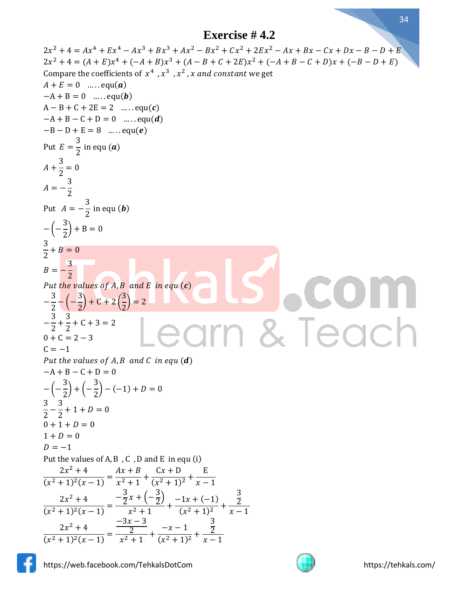```
2x^2 + 4 = Ax^4 + Ex^4 - Ax^3 + Bx^3 + Ax^2 - Bx^2 + Cx^2 + 2Ex^2 - Ax + Bx - Cx + Dx - B - D + E2x^2 + 4 = (A + E)x^4 + (-A + B)x^3 + (A - B + C + 2E)x^2 + (-A + B - C + D)x + (-B - D + E)Compare the coefficients of x^4, x^3, x^2, x and constant we get
A + E = 0 ..... equ(a)
-A + B = 0 .....equ(b)
A - B + C + 2E = 2 ..... equ(c)
-A + B - C + D = 0 ..... equ(d)
-B - D + E = 8 ..... equ(e)
           3
Put E =\frac{1}{2} in equ (a)
     3
A +\frac{1}{2} = 03
A = -2
              3
Put A = -\frac{1}{2} in equ (b)
       3
− (−
       \frac{1}{2} + B = 0
3
\frac{1}{2} + B = 03
B = -2
Put the values of A, B and E in equ (c)3
            3
                           3
−
   \frac{1}{2} – (–
            \frac{1}{2} + C + 2 (
                           \left(\frac{2}{2}\right) = 23
        3
−
   \frac{1}{2} +
        \frac{1}{2} + C + 3 = 2
                                                                                            edc
0 + C = 2 - 3C = -1Put the values of A, B and C in equ(d)-A + B - C + D = 03
                 3
− (−
       (\frac{1}{2}) + (-\frac{1}{2}) – (-1) + D = 0
3
     3
\frac{2}{2} –
     \frac{1}{2} + 1 + D = 00 + 1 + D = 01 + D = 0D = -1Put the values of A, B, C, D and E in equ (i)2x^2 + 4Ax + BCx + DE
\frac{(x^2+1)^2(x-1)}{(x^2+1)^2(x-1)}\frac{1}{x^2+1} +
                                     \frac{(x^2+1)^2}{(x^2+1)^2}x - 1-\frac{3}{2}\frac{3}{2}x + (-\frac{3}{2})3
                                      \frac{5}{2}2x^2 + 4-1x + (-1)2
\frac{1}{(x^2+1)^2(x-1)} =\frac{2}{x^2+1} +
                                              \frac{1}{(x^2+1)^2} +
                                                               x - 1-3x - 33
      2x^2 + 4-x-12
                                                         2
\frac{(x^2+1)^2(x-1)}{(x^2+1)^2(x-1)}\frac{2}{x^2+1} +
                                       \frac{x}{(x^2+1)^2} +x - 1
```
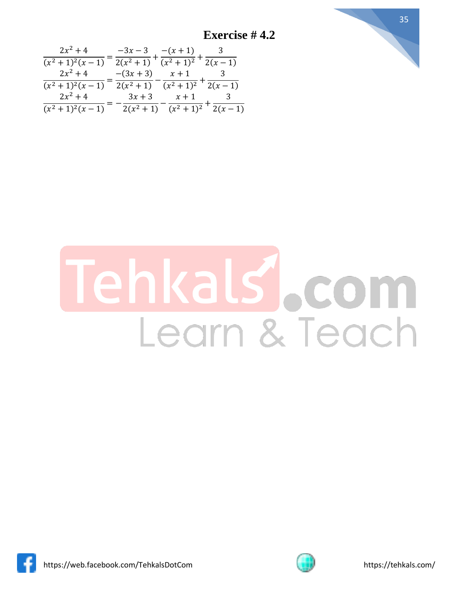**Exercise # 4.2**



| $2x^2 + 4$       | $-3x - 3$         | $-(x+1)$ 3                                                    |            |
|------------------|-------------------|---------------------------------------------------------------|------------|
| $(x^2+1)^2(x-1)$ | $\sqrt{2(x^2+1)}$ | $(x^2+1)^2$                                                   | $2(x - 1)$ |
| $2x^2 + 4$       | $-(3x+3)$         | $x + 1$                                                       | $\sim$ 3   |
| $(x^2+1)^2(x-1)$ | $2(x^2+1)$        | $\sqrt{(x^2+1)^2}$ <sup>T</sup> 2(x-1)                        |            |
| $2x^2 + 4$       | $3x+3$            | $x+1$                                                         | - 3        |
| $(x^2+1)^2(x-1)$ |                   | $\frac{1}{2(x^2+1)}$ $\frac{1}{(x^2+1)^2}$ $\frac{1}{2(x-1)}$ |            |

## ehkals, com Learn & Teach



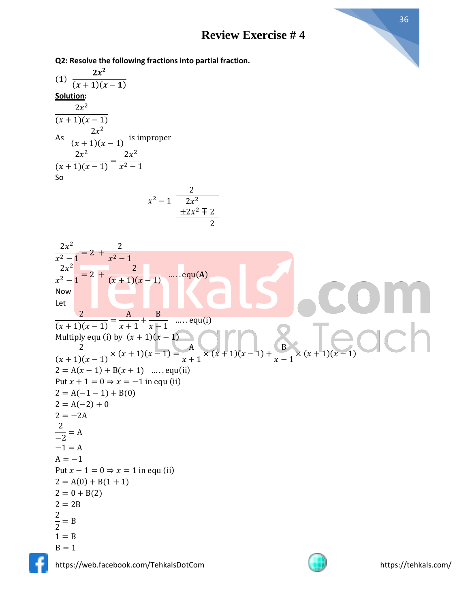**Q2: Resolve the following fractions into partial fraction.**

(1) 
$$
\frac{2x^2}{(x + 1)(x - 1)}
$$
  
\nSolution:  
\n
$$
\frac{2x^2}{(x + 1)(x - 1)}
$$
  
\nAs 
$$
\frac{2x^2}{(x + 1)(x - 1)}
$$
 is improper  
\n
$$
\frac{2x^2}{(x + 1)(x - 1)} = \frac{2x^2}{x^2 - 1}
$$
  
\nSo  
\n2

$$
x^2-1 \overline{\big)2x^2}
$$
  

$$
\underline{+2x^2+2}
$$
  

$$
2
$$

$$
\frac{2x^2}{x^2-1} = 2 + \frac{2}{x^2-1}
$$
  
\n
$$
\frac{2x^2}{x^2-1} = 2 + \frac{2}{(x+1)(x-1)}
$$
 .... equal(**A**)  
\n
$$
\frac{2}{(x+1)(x-1)} = \frac{A}{x+1} + \frac{B}{x-1}
$$
 .... equal(**i**)  
\nMultiply equ (i) by  $(x + 1)(x - 1)$   
\n
$$
\frac{2}{(x+1)(x-1)} \times (x + 1)(x-1) = \frac{A}{x+1} \times (x + 1)(x-1) + \frac{B}{x-1} \times (x + 1)(x-1)
$$
  
\nPut  $x + 1 = 0 \Rightarrow x = -1$  in equ (ii)  
\n $2 = A(x-1) + B(0)$   
\n $2 = A(-2) + 0$   
\n $2 = -2A$   
\n $\frac{2}{-2} = A$   
\n $A = -1$   
\n $A = -1$   
\nPut  $x - 1 = 0 \Rightarrow x = 1$  in equ (ii)  
\n $2 = A(0) + B(1 + 1)$   
\n $2 = 0 + B(2)$   
\n $\frac{2}{2} = 2B$   
\n $1 = B$   
\n $B = 1$ 



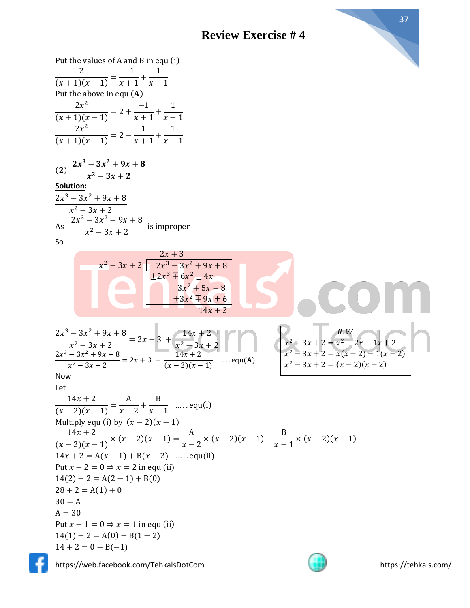



 $30 = A$  $A = 30$ 

https://web.facebook.com/TehkalsDotCom https://tehkals.com/

Put  $x - 1 = 0 \Rightarrow x = 1$  in equ (ii)  $14(1) + 2 = A(0) + B(1 - 2)$ 

 $14 + 2 = 0 + B(-1)$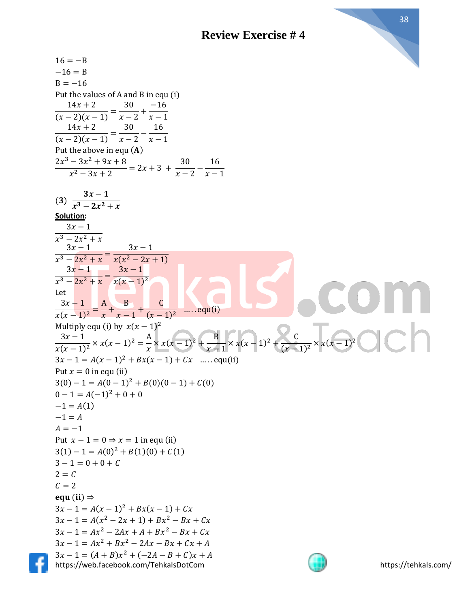

https://web.facebook.com/TehkalsDotCom https://tehkals.com/  $16 = -B$  $-16 = B$  $B = -16$ Put the values of A and B in equ (i)  $14x + 2$  $\frac{2(x-2)(x-1)}{(x-2)(x-1)}$  = 30  $\frac{1}{x-2} +$ −16  $x - 1$  $14x + 2$  $\frac{2(x-2)(x-1)}{(x-2)(x-1)}$  = 30  $\frac{1}{x-2}$ 16  $x - 1$ Put the above in equ  $(A)$  $2x^3 - 3x^2 + 9x + 8$  $\frac{2x+2x+2}{x^2-3x+2} = 2x+3+$ 30  $\frac{1}{x-2}$ 16  $x - 1$  $(3)$  $3x-1$  $x^3 - 2x^2 + x$ **Solution:**  $3x - 1$  $x^3 - 2x^2 + x$  $3x - 1$  $\frac{x^3 - 2x^2 + x}{x^3 - 2x^2 + x} =$  $3x - 1$  $x(x^2 - 2x + 1)$  $3x - 1$  $\frac{x^3 - 2x^2 + x}{x^3 - 2x^2 + x} =$  $3x - 1$  $x(x-1)^2$ Let  $3x - 1$  $\frac{1}{x(x-1)^2}$  = A  $\frac{1}{x}$  + B  $\frac{1}{x-1}$ + C  $\frac{1}{(x-1)^2}$  .... equ(i) Multiply equ (i) by  $x(x - 1)^2$  $3x - 1$  $\frac{3x-1}{x(x-1)^2} \times x(x-1)^2 = \frac{A}{x}$  $\frac{A}{x} \times x(x-1)^2 + \frac{B}{x-1}$  $\frac{B}{x-1} \times x(x-1)^2 + \frac{C}{(x-1)^2}$  $\frac{c}{(x-1)^2} \times x(x-1)^2$  $3x - 1 = A(x - 1)^2 + Bx(x - 1) + Cx$  ..... equ(ii) Put  $x = 0$  in equ (ii)  $3(0) - 1 = A(0 - 1)^2 + B(0)(0 - 1) + C(0)$  $0 - 1 = A(-1)^2 + 0 + 0$  $-1 = A(1)$  $-1 = A$  $A = -1$ Put  $x - 1 = 0 \Rightarrow x = 1$  in equ (ii)  $3(1) - 1 = A(0)^2 + B(1)(0) + C(1)$  $3 - 1 = 0 + 0 + C$  $2 = C$  $C = 2$ equ $(ii) \Rightarrow$  $3x - 1 = A(x - 1)^2 + Bx(x - 1) + Cx$  $3x - 1 = A(x^2 - 2x + 1) + Bx^2 - Bx + Cx$  $3x - 1 = Ax^2 - 2Ax + A + Bx^2 - Bx + Cx$  $3x - 1 = Ax^2 + Bx^2 - 2Ax - Bx + Cx + A$  $3x - 1 = (A + B)x^{2} + (-2A - B + C)x + A$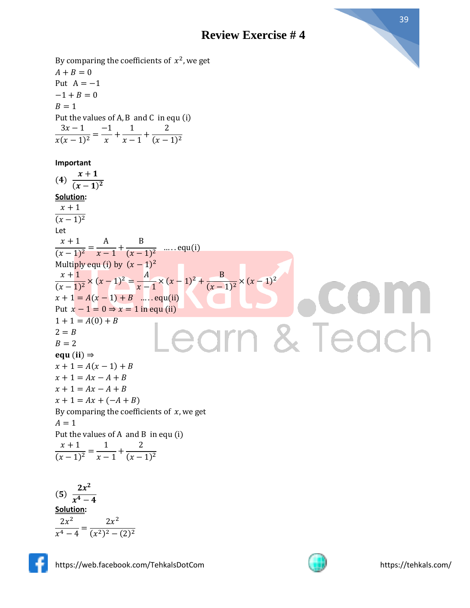By comparing the coefficients of  $x^2$ , we get  $A + B = 0$ Put  $A = -1$  $-1 + B = 0$  $B = 1$ Put the values of A, B and C in equ (i)  $3x - 1$ −1 1 2  $\frac{1}{x(x-1)^2} =$  $\frac{-}{x}$  +  $\frac{-}{x-1}$ +  $(x-1)^2$ **Important**  $x+1$  $(x - 1)^2$ **Solution:**  $x + 1$  $(x-1)^2$  $x + 1$ A B  $\frac{(x-1)^2}{(x-1)^2}$  $\frac{1}{x-1} +$  $\frac{1}{(x-1)^2}$  ..... equ(i) Multiply equ (i) by  $(x - 1)^2$  $\frac{x+1}{(x-1)^2} \times (x-1)^2 = \frac{A}{x-1}$  $x + 1$  $\frac{A}{x-1} \times (x-1)^2 + \frac{B}{(x-1)^2}$  $\frac{b}{(x-1)^2} \times (x-1)^2$  $x + 1 = A(x - 1) + B$  .... equ(ii) Put  $x - 1 = 0 \Rightarrow x = 1$  in equ (ii)  $1 + 1 = A(0) + B$ earn & Teach  $2 = B$  $B = 2$ equ (ii)  $\Rightarrow$  $x + 1 = A(x - 1) + B$  $x + 1 = Ax - A + B$  $x + 1 = Ax - A + B$ 

 $x + 1 = Ax + (-A + B)$ By comparing the coefficients of  $x$ , we get  $A = 1$ Put the values of A and B in equ (i)  $x + 1$  $\frac{(x-1)^2}{(x-1)^2}$ 1  $\frac{1}{x-1}$ + 2  $(x-1)^2$ 

 $(5)$  $2x^2$  $x^4-4$ **Solution:**  $2x^2$  $\frac{1}{x^4-4}$  =  $2x^2$  $(x^2)^2 - (2)^2$ 

$$
\left[ \cdot \right]
$$

 $(4)$ 

Let

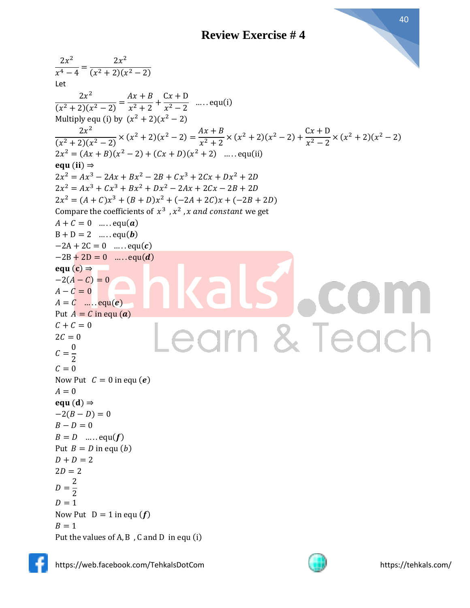$2x^2$  $2x^2$  $\frac{1}{x^4-4}$  =  $(x^2+2)(x^2-2)$ Let  $2x^2$  $Ax + B$  $Cx + D$  $\frac{2x+2}{x^2-2}$  .... equ(i)  $\frac{1}{(x^2+2)(x^2-2)} =$  $\frac{1}{x^2+2}$  + Multiply equ (i) by  $(x^2 + 2)(x^2 - 2)$  $2x^2$  $\frac{2x^2}{(x^2+2)(x^2-2)} \times (x^2+2)(x^2-2) = \frac{Ax+B}{x^2+2}$  $\frac{Ax+B}{x^2+2}$  ×  $(x^2+2)(x^2-2)+\frac{Cx+D}{x^2-2}$  $\frac{6x+1}{x^2-2} \times (x^2+2)(x^2-2)$  $2x^2 = (Ax + B)(x^2 - 2) + (Cx + D)(x^2 + 2)$  .... equ(ii) equ $(ii) \Rightarrow$  $2x^2 = Ax^3 - 2Ax + Bx^2 - 2B + Cx^3 + 2Cx + Dx^2 + 2D$  $2x^2 = Ax^3 + Cx^3 + Bx^2 + Dx^2 - 2Ax + 2Cx - 2B + 2D$  $2x^2 = (A + C)x^3 + (B + D)x^2 + (-2A + 2C)x + (-2B + 2D)$ Compare the coefficients of  $x^3$ ,  $x^2$ , x and constant we get  $A + C = 0$  ..... equ(a)  $B + D = 2$  ..... equ(b)  $-2A + 2C = 0$  .....equ(*c*)  $-2B + 2D = 0$  ..... equ(*d*) equ $(c) \Rightarrow$  $-2(A - C) = 0$  $A - C = 0$  $A = C$  ....  $equ(e)$ Put  $A = C$  in equ (a)  $C + C = 0$ earn & Teach  $2C = 0$ 0  $\mathcal{C}=$ 2  $C = 0$ Now Put  $C = 0$  in equ  $(e)$  $A = 0$ equ $(d) \Rightarrow$  $-2(B - D) = 0$  $B - D = 0$  $B = D$  ..... equ(f) Put  $B = D$  in equ  $(b)$  $D + D = 2$  $2D = 2$ 2  $D=$ 2  $D = 1$ Now Put  $D = 1$  in equ  $(f)$  $B = 1$ Put the values of A, B , C and D in equ (i)



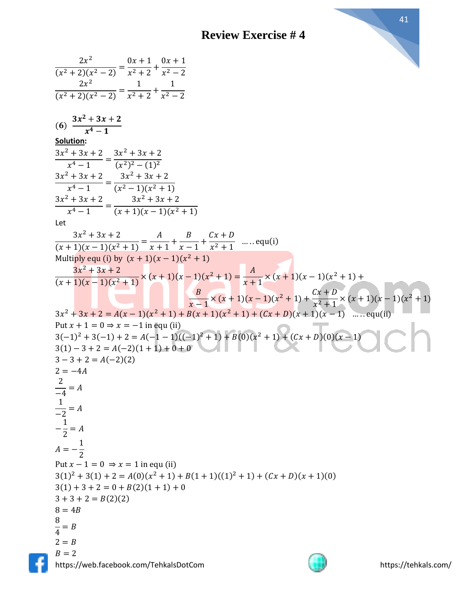https://web.facebook.com/TehkalsDotCom https://tehkals.com/  $2x^2$  $\frac{1}{(x^2+2)(x^2-2)} =$  $0x + 1$  $\frac{x^2+2}{x^2+2}$  +  $0x + 1$  $x^2 - 2$  $2x^2$  $\frac{1}{(x^2+2)(x^2-2)} =$ 1  $\frac{1}{x^2+2}$  + 1  $x^2 - 2$  $(6)$  $3x^2 + 3x + 2$  $x^4-1$ **Solution:**  $3x^2 + 3x + 2$  $\frac{x^4-1}{x^4-1}$  =  $3x^2 + 3x + 2$  $(x^2)^2 - (1)^2$  $3x^2 + 3x + 2$  $\frac{x^4-1}{x^4-1}$  =  $3x^2 + 3x + 2$  $(x^2-1)(x^2+1)$  $3x^2 + 3x + 2$  $\frac{x^4-1}{x^4-1}$  =  $3x^2 + 3x + 2$  $(x + 1)(x - 1)(x<sup>2</sup> + 1)$ Let  $3x^2 + 3x + 2$  $\frac{(x+1)(x-1)(x^2+1)}{(x+1)(x-1)(x^2+1)} =$  $\overline{A}$  $\frac{1}{x+1}$ +  $\boldsymbol{B}$  $\frac{-}{x-1}$ +  $Cx + D$  $\frac{2\pi}{x^2+1}$  ..... equ(i) Multiply equ (i) by  $(x + 1)(x - 1)(x^2 + 1)$  $3x^2 + 3x + 2$  $\frac{3x^2+3x+2}{(x+1)(x-1)(x^2+1)} \times (x+1)(x-1)(x^2+1) = \frac{A}{x+1}$  $\frac{x}{x+1}$  × (x + 1)(x – 1)(x<sup>2</sup> + 1) +  $\boldsymbol{B}$  $\frac{B}{(x+1)} \times (x+1)(x-1)(x^2+1) + \frac{Cx+D}{x^2+1}$  $\frac{2x+1}{x^2+1}$  ×  $(x + 1)(x - 1)(x^2 + 1)$  $3x^2 + 3x + 2 = A(x-1)(x^2 + 1) + B(x+1)(x^2 + 1) + (Cx + D)(x+1)(x-1)$  ...... equ(ii) Put  $x + 1 = 0 \Rightarrow x = -1$  in equ (ii)  $3(-1)^{2} + 3(-1) + 2 = A(-1 - 1)((-1)^{2} + 1) + B(0)(x^{2} + 1) + (Cx + D)(0)(x - 1)$  $3(1) - 3 + 2 = A(-2)(1 + 1) + 0 + 0$  $3 - 3 + 2 = A(-2)(2)$  $2 = -4A$ 2  $\frac{-}{-4} = A$ 1  $\frac{-}{-2} = A$ − 1  $\frac{1}{2} = A$  $A = -$ 1 2 Put  $x - 1 = 0 \Rightarrow x = 1$  in equ (ii)  $3(1)^{2} + 3(1) + 2 = A(0)(x^{2} + 1) + B(1 + 1)((1)^{2} + 1) + (Cx + D)(x + 1)(0)$  $3(1) + 3 + 2 = 0 + B(2)(1 + 1) + 0$  $3 + 3 + 2 = B(2)(2)$  $8 = 4B$ 8  $\frac{1}{4}$  = B  $2 = B$  $B = 2$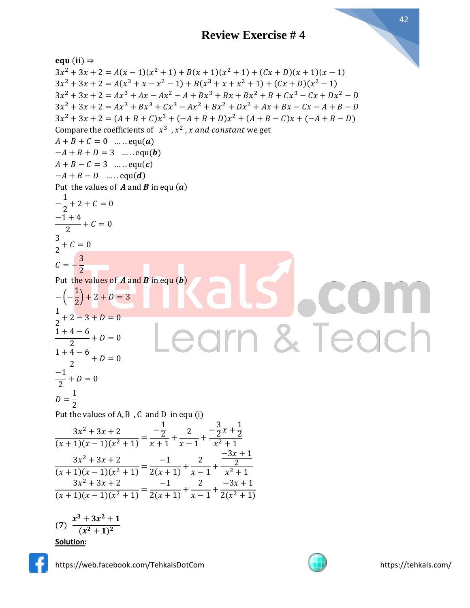equ (ii)  $\Rightarrow$  $3x^{2} + 3x + 2 = A(x - 1)(x^{2} + 1) + B(x + 1)(x^{2} + 1) + (Cx + D)(x + 1)(x - 1)$  $3x^{2} + 3x + 2 = A(x^{3} + x - x^{2} - 1) + B(x^{3} + x + x^{2} + 1) + (Cx + D)(x^{2} - 1)$  $3x^2 + 3x + 2 = Ax^3 + Ax - Ax^2 - A + Bx^3 + Bx + Bx^2 + B + Cx^3 - Cx + Dx^2 - D$  $3x^2 + 3x + 2 = Ax^3 + Bx^3 + Cx^3 - Ax^2 + Bx^2 + Dx^2 + Ax + Bx - Cx - A + B - D$  $3x^{2} + 3x + 2 = (A + B + C)x^{3} + (-A + B + D)x^{2} + (A + B - C)x + (-A + B - D)$ Compare the coefficients of  $x^3$ ,  $x^2$ , x and constant we get  $A + B + C = 0$  ..... equ(a)  $-A + B + D = 3$  ..... equ(**b**)  $A + B - C = 3$  ..... equ(c)  $-A + B - D$  … . . . equ(d) Put the values of  $A$  and  $B$  in equ  $(a)$ 1 −  $\frac{1}{2}$  + 2 + C = 0  $-1 + 4$  $\frac{1}{2} + C = 0$ 3  $\frac{1}{2} + C = 0$ 3  $C = -$ 2 Put the values of  $\vec{A}$  and  $\vec{B}$  in equ  $(\vec{b})$ 1 − (−  $\left(\frac{1}{2}\right)$  + 2 + D = 3 1  $\frac{1}{2} + 2 - 3 + D = 0$ & Teacl  $1 + 4 - 6$  $\frac{1}{2} + D = 0$  $1 + 4 - 6$  $\frac{1}{2} + D = 0$ −1  $\frac{1}{2} + D = 0$ 1  $D=$ 2 Put the values of  $\mathsf{A}, \mathsf{B}$  ,  $\mathsf{C}\,$  and  $\mathsf{D}\,$  in equ (i)  $-\frac{1}{2}$  $-\frac{3}{2}$  $\frac{3}{2}x + \frac{1}{2}$  $3x^2 + 3x + 2$ 2 2 2  $\frac{(x+1)(x-1)(x^2+1)}{(x+1)(x-1)(x^2+1)} =$  $\frac{2}{x+1}$ +  $\frac{-}{x-1}$ +  $x^2 + 1$  $-3x + 1$  $3x^2 + 3x + 2$ −1 2 2  $\frac{(x+1)(x-1)(x^2+1)}{(x+1)(x-1)(x^2+1)} =$  $\frac{1}{2(x+1)} +$  $\frac{-}{x-1}$ +  $x^2 + 1$  $3x^2 + 3x + 2$ −1 2  $-3x + 1$  $\frac{(x+1)(x-1)(x^2+1)}{(x+1)(x-1)(x^2+1)} =$  $\frac{1}{2(x+1)} +$  $\frac{-}{x-1}$ +  $2(x^2 + 1)$  $x^3 + 3x^2 + 1$  $(7)$  $(x^2+1)^2$ **Solution:**

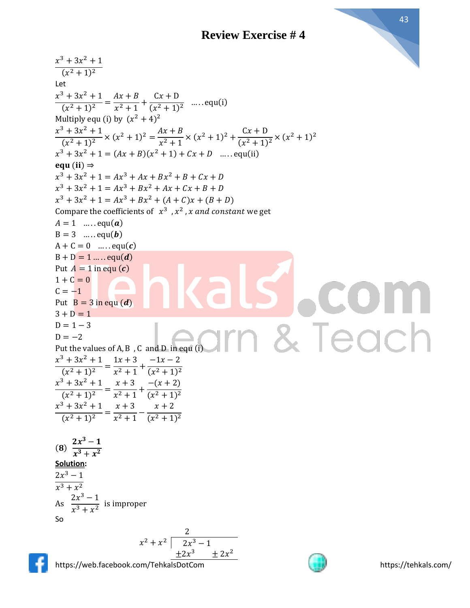

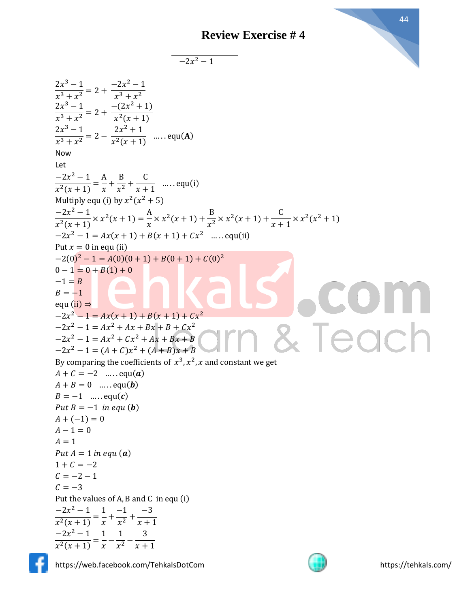$-2x^2-1$ 

| $\frac{2x^3-1}{x^3+x^2} = 2 + \frac{-2x^2-1}{x^3+x^2}$                                                                                       |
|----------------------------------------------------------------------------------------------------------------------------------------------|
|                                                                                                                                              |
| $\frac{2x^3 - 1}{x^3 + x^2} = 2 + \frac{-(2x^2 + 1)}{x^2(x + 1)}$                                                                            |
|                                                                                                                                              |
| $\frac{2x^3-1}{x^3+x^2} = 2 - \frac{2x^2+1}{x^2(x+1)}$ equ(A)                                                                                |
| Now                                                                                                                                          |
|                                                                                                                                              |
| Let                                                                                                                                          |
| $\frac{-2x^2-1}{x^2(x+1)} = \frac{A}{x} + \frac{B}{x^2} + \frac{C}{x+1}$ equ(i)                                                              |
|                                                                                                                                              |
| Multiply equ (i) by $x^2(x^2 + 5)$                                                                                                           |
| $\frac{-2x^2 - 1}{x^2(x+1)} \times x^2(x+1) = \frac{A}{x} \times x^2(x+1) + \frac{B}{x^2} \times x^2(x+1) + \frac{C}{x+1} \times x^2(x^2+1)$ |
| $-2x^2 - 1 = Ax(x + 1) + B(x + 1) + Cx^2$ equ(ii)                                                                                            |
| Put $x = 0$ in equ (ii)                                                                                                                      |
| $-2(0)^{2} - 1 = A(0)(0 + 1) + B(0 + 1) + C(0)^{2}$                                                                                          |
| $0-1=0+B(1)+0$                                                                                                                               |
| $-1 = B$                                                                                                                                     |
| $B=-1$                                                                                                                                       |
| equ $(ii) \Rightarrow$                                                                                                                       |
| $-2x^2 - 1 = Ax(x + 1) + B(x + 1) + Cx^2$                                                                                                    |
| $-2x^2 - 1 = Ax^2 + Ax + Bx + B + Cx^2$                                                                                                      |
| Teach<br>$-2x^2 - 1 = Ax^2 + Cx^2 + Ax + Bx + B$                                                                                             |
| $-2x^2 - 1 = (A + C)x^2 + (A + B)x + B$                                                                                                      |
| By comparing the coefficients of $x^3$ , $x^2$ , x and constant we get                                                                       |
| $A + C = -2$ equ( <b>a</b> )                                                                                                                 |
| $A + B = 0$ equ( <b>b</b> )                                                                                                                  |
| $B = -1$ equ(c)                                                                                                                              |
| Put $B = -1$ in equ ( <b>b</b> )                                                                                                             |
| $A + (-1) = 0$                                                                                                                               |
| $A - 1 = 0$                                                                                                                                  |
| $A=1$                                                                                                                                        |
| Put $A = 1$ in equ $(a)$                                                                                                                     |
| $1 + C = -2$                                                                                                                                 |
| $C = -2 - 1$                                                                                                                                 |
| $C = -3$                                                                                                                                     |
| Put the values of A, B and C in equ (i)                                                                                                      |
|                                                                                                                                              |
| $\frac{-2x^2-1}{x^2(x+1)} = \frac{1}{x} + \frac{-1}{x^2} + \frac{-3}{x+1}$                                                                   |
|                                                                                                                                              |
| $\frac{-2x^2-1}{x^2(x+1)} = \frac{1}{x} - \frac{1}{x^2} - \frac{3}{x+1}$                                                                     |
|                                                                                                                                              |



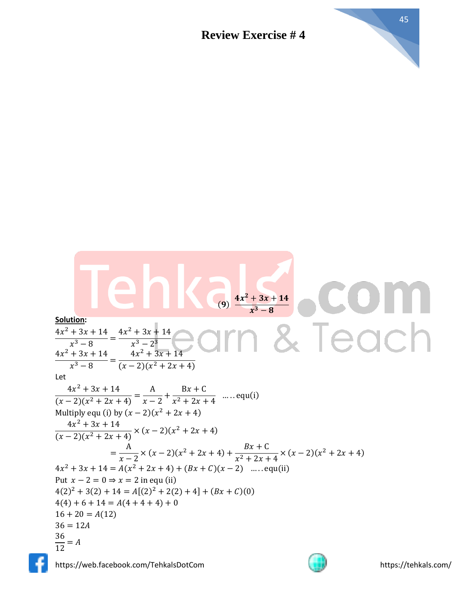

Solution:  
\n
$$
\frac{4x^2 + 3x + 14}{x^3 - 8} = \frac{4x^2 + 3x + 14}{x^3 - 2}
$$
\n
$$
\frac{4x^2 + 3x + 14}{x^3 - 8} = \frac{4x^2 + 3x + 14}{(x - 2)(x^2 + 2x + 4)}
$$
\nLet  
\n
$$
\frac{4x^2 + 3x + 14}{(x - 2)(x^2 + 2x + 4)} = \frac{A}{x - 2} + \frac{Bx + C}{x^2 + 2x + 4}
$$
\n
$$
\frac{4x^2 + 3x + 14}{(x - 2)(x^2 + 2x + 4)} = \frac{A}{x - 2} + \frac{Bx + C}{x^2 + 2x + 4}
$$
\n
$$
\frac{4x^2 + 3x + 14}{(x - 2)(x^2 + 2x + 4)} \times (x - 2)(x^2 + 2x + 4)
$$
\n
$$
= \frac{A}{x - 2} \times (x - 2)(x^2 + 2x + 4) + \frac{Bx + C}{x^2 + 2x + 4} \times (x - 2)(x^2 + 2x + 4)
$$
\n
$$
= \frac{A}{x - 2} \times (x - 2)(x^2 + 2x + 4) + (Bx + C)(x - 2) \quad \dots \quad \text{equ(i)}
$$
\nPut  $x - 2 = 0 \Rightarrow x = 2$  in equation (i)  
\n $4(2)^2 + 3(2) + 14 = A[(2)^2 + 2(2) + 4] + (Bx + C)(0)$   
\n $4(4) + 6 + 14 = A(4 + 4 + 4) + 0$   
\n $36 = 12A$   
\n $\frac{36}{12} = A$ 

https://web.facebook.com/TehkalsDotCom https://tehkals.com/

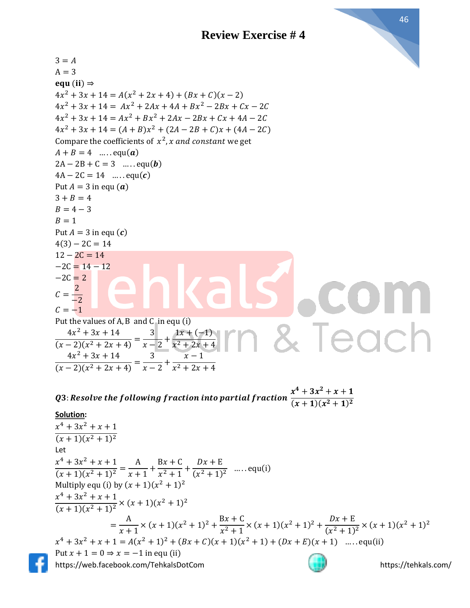

 $3 = A$  $A = 3$ equ (ii)  $\Rightarrow$  $4x^2 + 3x + 14 = A(x^2 + 2x + 4) + (Bx + C)(x - 2)$  $4x^2 + 3x + 14 = Ax^2 + 2Ax + 4A + Bx^2 - 2Bx + Cx - 2C$  $4x^2 + 3x + 14 = Ax^2 + Bx^2 + 2Ax - 2Bx + Cx + 4A - 2C$  $4x^2 + 3x + 14 = (A + B)x^2 + (2A - 2B + C)x + (4A - 2C)$ Compare the coefficients of  $x^2$ , x and constant we get  $A + B = 4$  ..... equ(a)  $2A - 2B + C = 3$  ..... equ(**b**)  $4A - 2C = 14$  ..... equ(c) Put  $A = 3$  in equ  $(a)$  $3 + B = 4$  $B = 4 - 3$  $B = 1$ Put  $A = 3$  in equ  $(c)$  $4(3) - 2C = 14$  $12 - 2C = 14$  $-2C = 14 - 12$  $-2C = 2$ 2  $\mathcal{C}=$ −2  $C = -1$ Put the values of A, B and C in equ (i) Teach  $4x^2 + 3x + 14$  $1x + (-1)$ 3  $\frac{(x-2)(x^2+2x+4)}{(x-2)(x^2+2x+4)}$  $\frac{1}{x-2}$  +  $x^2 + 2x + 4$  $4x^2 + 3x + 14$ 3  $x - 1$  $\frac{(x-2)(x^2+2x+4)}{(x-2)(x^2+2x+4)}$  $\frac{1}{x-2}$  +  $x^2 + 2x + 4$ 

Q3: Resolve the following fraction into partial fraction  $x^4 + 3x^2 + x + 1$  $(x + 1)(x<sup>2</sup> + 1)<sup>2</sup>$ 

#### **Solution:**

https://web.facebook.com/TehkalsDotCom https://tehkals.com/  $x^4 + 3x^2 + x + 1$  $(x + 1)(x<sup>2</sup> + 1)<sup>2</sup>$ Let  $x^4 + 3x^2 + x + 1$  $\frac{(x+1)(x^2+1)^2}{(x+1)(x^2+1)^2} =$ A  $\frac{1}{x+1}$ +  $Bx + C$  $\frac{2}{x^2+1}$  +  $Dx + E$  $\frac{2x+2}{(x^2+1)^2}$  ..... equ(i) Multiply equ (i) by  $(x + 1)(x^2 + 1)^2$  $x^4 + 3x^2 + x + 1$  $\frac{x+3x+x+1}{(x+1)(x^2+1)^2} \times (x+1)(x^2+1)^2$ = A  $\frac{A}{x+1}$  × (x + 1)(x<sup>2</sup> + 1)<sup>2</sup> +  $\frac{Bx + C}{x^2 + 1}$  $\frac{Bx+C}{x^2+1} \times (x+1)(x^2+1)^2 + \frac{Dx+E}{(x^2+1)}$  $\frac{bx+1}{(x^2+1)^2} \times (x+1)(x^2+1)^2$  $x^4 + 3x^2 + x + 1 = A(x^2 + 1)^2 + (Bx + C)(x + 1)(x^2 + 1) + (Dx + E)(x + 1)$  ...... equ(ii) Put  $x + 1 = 0 \Rightarrow x = -1$  in equ (ii)

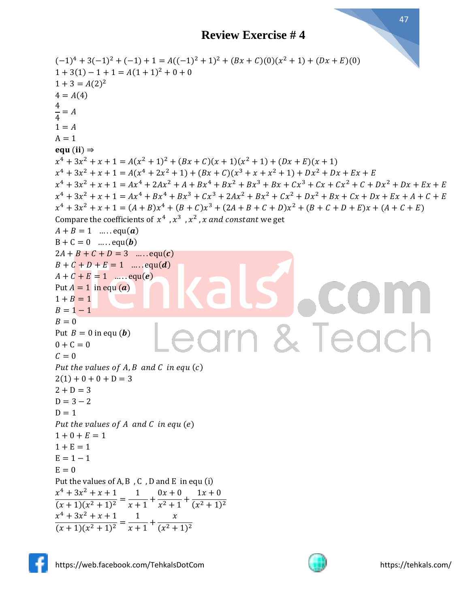```
(-1)^4 + 3(-1)^2 + (-1) + 1 = A((-1)^2 + 1)^2 + (Bx + C)(0)(x^2 + 1) + (Dx + E)(0)1 + 3(1) - 1 + 1 = A(1 + 1)^{2} + 0 + 01 + 3 = A(2)^24 = A(4)4
\frac{1}{4} = A1 = AA = 1equ (ii) \Rightarrowx^4 + 3x^2 + x + 1 = A(x^2 + 1)^2 + (Bx + C)(x + 1)(x^2 + 1) + (Dx + E)(x + 1)x^4 + 3x^2 + x + 1 = A(x^4 + 2x^2 + 1) + (Bx + C)(x^3 + x + x^2 + 1) + Dx^2 + Dx + Ex + Ex^4 + 3x^2 + x + 1 = Ax^4 + 2Ax^2 + A + Bx^4 + Bx^2 + Bx^3 + Bx + Cx^3 + Cx + Cx^2 + C + Dx^2 + Dx + Ex + Ex^4 + 3x^2 + x + 1 = Ax^4 + Bx^4 + Bx^3 + Cx^3 + 2Ax^2 + Bx^2 + Cx^2 + Dx^2 + Bx + Cx + Dx + Ex + A + C + Ex^4 + 3x^2 + x + 1 = (A + B)x^4 + (B + C)x^3 + (2A + B + C + D)x^2 + (B + C + D + E)x + (A + C + E)Compare the coefficients of x^4 , x^3 , x^2 , x and constant we get
A + B = 1 ..... equ(a)
B + C = 0 ..... equ(b)
2A + B + C + D = 3 ..... equ(c)
B + C + D + E = 1 ..... equ(d)
A + C + E = 1 ..... equ(e)
Put A = 1 in equ (a)1 + B = 1B = 1 - 1B = 0& Teach
                                       arn
Put B = 0 in equ (b)0 + C = 0C = 0Put the values of A, B and C in equ(c)2(1) + 0 + 0 + D = 32 + D = 3D = 3 - 2D = 1Put the values of A and C in equ (e)1 + 0 + E = 11 + E = 1E = 1 - 1E = 0Put the values of A, B , C , D and E in equ (i)
x^4 + 3x^2 + x + 11
                            0x + 01x + 0\frac{(x+1)(x^2+1)^2}{(x+1)(x^2+1)^2} =\frac{1}{x+1}+
                            \frac{x^2+1}{x^2+1}(x^2+1)^2x^4 + 3x^2 + x + 11
                                \mathcal{X}\frac{(x+1)(x^2+1)^2}{(x+1)(x^2+1)^2} =\frac{1}{x+1}+
                            (x^2+1)^2
```